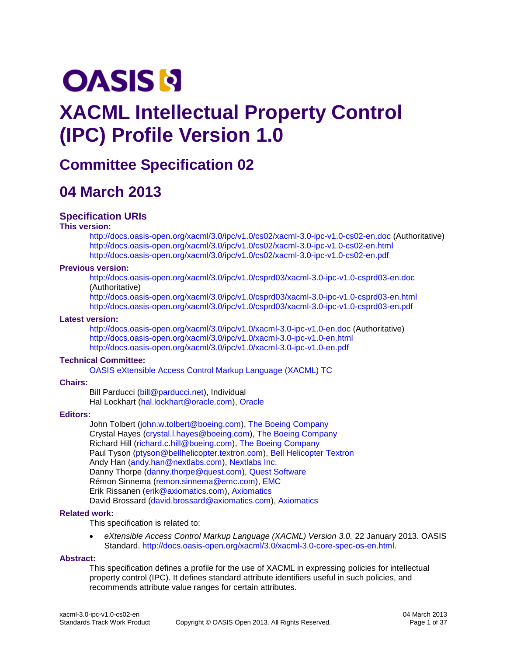# **OASIS N**

# **XACML Intellectual Property Control (IPC) Profile Version 1.0**

# **Committee Specification 02**

# **04 March 2013**

#### **Specification URIs**

#### **This version:**

<http://docs.oasis-open.org/xacml/3.0/ipc/v1.0/cs02/xacml-3.0-ipc-v1.0-cs02-en.doc> (Authoritative) <http://docs.oasis-open.org/xacml/3.0/ipc/v1.0/cs02/xacml-3.0-ipc-v1.0-cs02-en.html> <http://docs.oasis-open.org/xacml/3.0/ipc/v1.0/cs02/xacml-3.0-ipc-v1.0-cs02-en.pdf>

#### **Previous version:**

<http://docs.oasis-open.org/xacml/3.0/ipc/v1.0/csprd03/xacml-3.0-ipc-v1.0-csprd03-en.doc> (Authoritative)

<http://docs.oasis-open.org/xacml/3.0/ipc/v1.0/csprd03/xacml-3.0-ipc-v1.0-csprd03-en.html> <http://docs.oasis-open.org/xacml/3.0/ipc/v1.0/csprd03/xacml-3.0-ipc-v1.0-csprd03-en.pdf>

#### **Latest version:**

<http://docs.oasis-open.org/xacml/3.0/ipc/v1.0/xacml-3.0-ipc-v1.0-en.doc> (Authoritative) <http://docs.oasis-open.org/xacml/3.0/ipc/v1.0/xacml-3.0-ipc-v1.0-en.html> <http://docs.oasis-open.org/xacml/3.0/ipc/v1.0/xacml-3.0-ipc-v1.0-en.pdf>

#### **Technical Committee:**

[OASIS eXtensible Access Control Markup Language \(XACML\) TC](http://www.oasis-open.org/committees/xacml/)

#### **Chairs:**

Bill Parducci [\(bill@parducci.net\)](mailto:bill@parducci.net), Individual Hal Lockhart [\(hal.lockhart@oracle.com\)](mailto:hal.lockhart@oracle.com), [Oracle](http://www.oracle.com/)

#### **Editors:**

John Tolbert [\(john.w.tolbert@boeing.com\)](mailto:john.w.tolbert@boeing.com), [The Boeing Company](http://www.boeing.com/) Crystal Hayes [\(crystal.l.hayes@boeing.com\)](mailto:crystal.l.hayes@boeing.com), [The Boeing Company](http://www.boeing.com/) Richard Hill [\(richard.c.hill@boeing.com\)](mailto:richard.c.hill@boeing.com), [The Boeing Company](http://www.boeing.com/) Paul Tyson [\(ptyson@bellhelicopter.textron.com\)](mailto:ptyson@bellhelicopter.textron.com), [Bell Helicopter Textron](http://www.textron.com/) Andy Han [\(andy.han@nextlabs.com\)](mailto:andy.han@nextlabs.com), [Nextlabs Inc.](http://www.nextlabs.com/) Danny Thorpe [\(danny.thorpe@quest.com\)](mailto:danny.thorpe@quest.com), [Quest Software](http://www.quest.com/) Rémon Sinnema [\(remon.sinnema@emc.com\)](mailto:remon.sinnema@emc.com), [EMC](http://www.emc.com/) Erik Rissanen [\(erik@axiomatics.com\)](mailto:erik@axiomatics.com), [Axiomatics](http://www.axiomatics.com/) David Brossard [\(david.brossard@axiomatics.com\)](mailto:david.brossard@axiomatics.com), [Axiomatics](http://www.axiomatics.com/)

#### **Related work:**

This specification is related to:

 *eXtensible Access Control Markup Language (XACML) Version 3.0.* 22 January 2013. OASIS Standard. [http://docs.oasis-open.org/xacml/3.0/xacml-3.0-core-spec-os-en.html.](http://docs.oasis-open.org/xacml/3.0/xacml-3.0-core-spec-os-en.html)

#### **Abstract:**

This specification defines a profile for the use of XACML in expressing policies for intellectual property control (IPC). It defines standard attribute identifiers useful in such policies, and recommends attribute value ranges for certain attributes.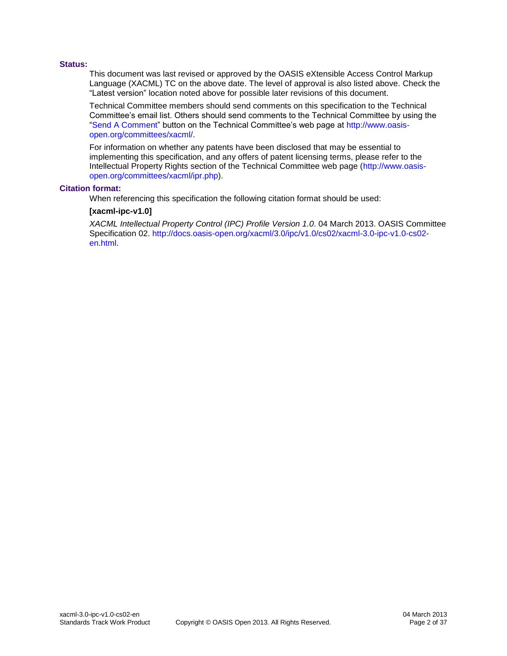#### **Status:**

This document was last revised or approved by the OASIS eXtensible Access Control Markup Language (XACML) TC on the above date. The level of approval is also listed above. Check the "Latest version" location noted above for possible later revisions of this document.

Technical Committee members should send comments on this specification to the Technical Committee's email list. Others should send comments to the Technical Committee by using the ["Send A Comment"](https://www.oasis-open.org/committees/comments/index.php?wg_abbrev=xacml) button on the Technical Committee's web page at [http://www.oasis](http://www.oasis-open.org/committees/xacml/)[open.org/committees/xacml/.](http://www.oasis-open.org/committees/xacml/)

For information on whether any patents have been disclosed that may be essential to implementing this specification, and any offers of patent licensing terms, please refer to the Intellectual Property Rights section of the Technical Committee web page [\(http://www.oasis](http://www.oasis-open.org/committees/xacml/ipr.php)[open.org/committees/xacml/ipr.php\)](http://www.oasis-open.org/committees/xacml/ipr.php).

#### **Citation format:**

When referencing this specification the following citation format should be used:

#### **[xacml-ipc-v1.0]**

*XACML Intellectual Property Control (IPC) Profile Version 1.0*. 04 March 2013. OASIS Committee Specification 02. [http://docs.oasis-open.org/xacml/3.0/ipc/v1.0/cs02/xacml-3.0-ipc-v1.0-cs02](http://docs.oasis-open.org/xacml/3.0/ipc/v1.0/cs02/xacml-3.0-ipc-v1.0-cs02-en.html) [en.html.](http://docs.oasis-open.org/xacml/3.0/ipc/v1.0/cs02/xacml-3.0-ipc-v1.0-cs02-en.html)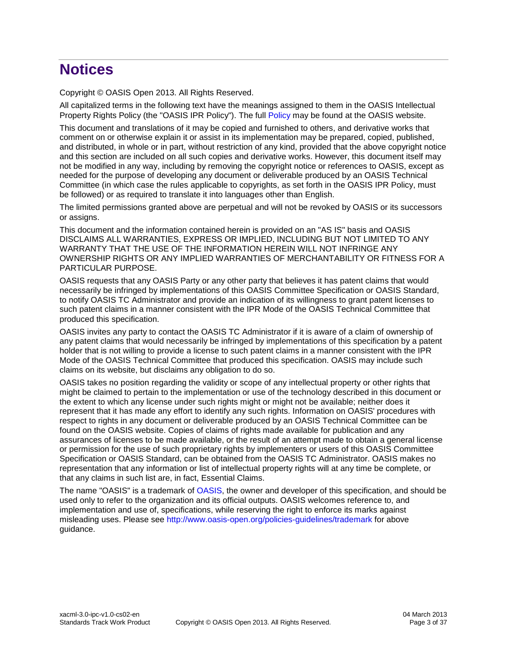# **Notices**

Copyright © OASIS Open 2013. All Rights Reserved.

All capitalized terms in the following text have the meanings assigned to them in the OASIS Intellectual Property Rights Policy (the "OASIS IPR Policy"). The full [Policy](http://www.oasis-open.org/policies-guidelines/ipr) may be found at the OASIS website.

This document and translations of it may be copied and furnished to others, and derivative works that comment on or otherwise explain it or assist in its implementation may be prepared, copied, published, and distributed, in whole or in part, without restriction of any kind, provided that the above copyright notice and this section are included on all such copies and derivative works. However, this document itself may not be modified in any way, including by removing the copyright notice or references to OASIS, except as needed for the purpose of developing any document or deliverable produced by an OASIS Technical Committee (in which case the rules applicable to copyrights, as set forth in the OASIS IPR Policy, must be followed) or as required to translate it into languages other than English.

The limited permissions granted above are perpetual and will not be revoked by OASIS or its successors or assigns.

This document and the information contained herein is provided on an "AS IS" basis and OASIS DISCLAIMS ALL WARRANTIES, EXPRESS OR IMPLIED, INCLUDING BUT NOT LIMITED TO ANY WARRANTY THAT THE USE OF THE INFORMATION HEREIN WILL NOT INFRINGE ANY OWNERSHIP RIGHTS OR ANY IMPLIED WARRANTIES OF MERCHANTABILITY OR FITNESS FOR A PARTICULAR PURPOSE.

OASIS requests that any OASIS Party or any other party that believes it has patent claims that would necessarily be infringed by implementations of this OASIS Committee Specification or OASIS Standard, to notify OASIS TC Administrator and provide an indication of its willingness to grant patent licenses to such patent claims in a manner consistent with the IPR Mode of the OASIS Technical Committee that produced this specification.

OASIS invites any party to contact the OASIS TC Administrator if it is aware of a claim of ownership of any patent claims that would necessarily be infringed by implementations of this specification by a patent holder that is not willing to provide a license to such patent claims in a manner consistent with the IPR Mode of the OASIS Technical Committee that produced this specification. OASIS may include such claims on its website, but disclaims any obligation to do so.

OASIS takes no position regarding the validity or scope of any intellectual property or other rights that might be claimed to pertain to the implementation or use of the technology described in this document or the extent to which any license under such rights might or might not be available; neither does it represent that it has made any effort to identify any such rights. Information on OASIS' procedures with respect to rights in any document or deliverable produced by an OASIS Technical Committee can be found on the OASIS website. Copies of claims of rights made available for publication and any assurances of licenses to be made available, or the result of an attempt made to obtain a general license or permission for the use of such proprietary rights by implementers or users of this OASIS Committee Specification or OASIS Standard, can be obtained from the OASIS TC Administrator. OASIS makes no representation that any information or list of intellectual property rights will at any time be complete, or that any claims in such list are, in fact, Essential Claims.

The name "OASIS" is a trademark of [OASIS,](http://www.oasis-open.org/) the owner and developer of this specification, and should be used only to refer to the organization and its official outputs. OASIS welcomes reference to, and implementation and use of, specifications, while reserving the right to enforce its marks against misleading uses. Please see<http://www.oasis-open.org/policies-guidelines/trademark> for above guidance.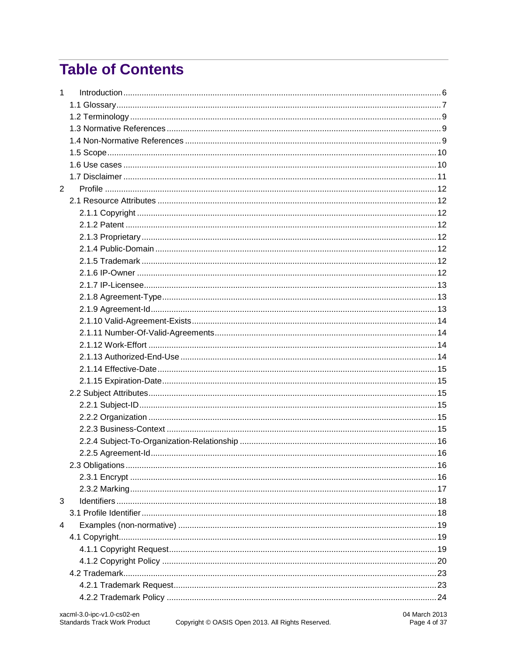# **Table of Contents**

| 1 |  |
|---|--|
|   |  |
|   |  |
|   |  |
|   |  |
|   |  |
|   |  |
|   |  |
| 2 |  |
|   |  |
|   |  |
|   |  |
|   |  |
|   |  |
|   |  |
|   |  |
|   |  |
|   |  |
|   |  |
|   |  |
|   |  |
|   |  |
|   |  |
|   |  |
|   |  |
|   |  |
|   |  |
|   |  |
|   |  |
|   |  |
|   |  |
|   |  |
|   |  |
|   |  |
| 3 |  |
|   |  |
| 4 |  |
|   |  |
|   |  |
|   |  |
|   |  |
|   |  |
|   |  |
|   |  |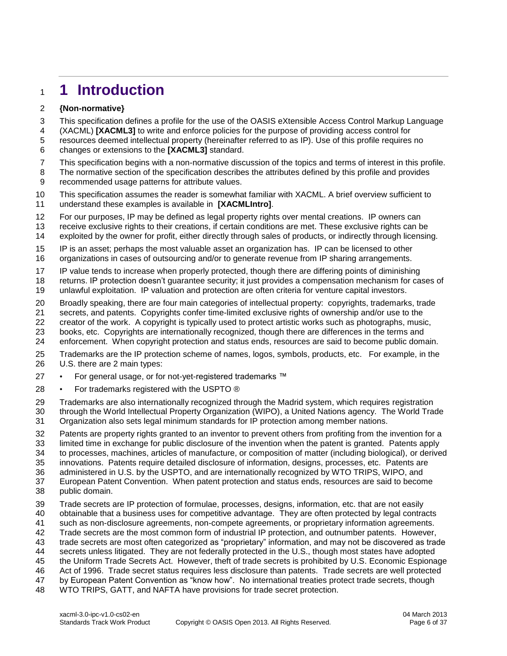# <span id="page-5-0"></span>**1 Introduction**

#### **{Non-normative}**

This specification defines a profile for the use of the OASIS eXtensible Access Control Markup Language

(XACML) **[\[XACML3\]](#page-8-3)** to write and enforce policies for the purpose of providing access control for

 resources deemed intellectual property (hereinafter referred to as IP). Use of this profile requires no changes or extensions to the **[\[XACML3\]](#page-8-3)** standard.

- This specification begins with a non-normative discussion of the topics and terms of interest in this profile.
- The normative section of the specification describes the attributes defined by this profile and provides
- recommended usage patterns for attribute values.

 This specification assumes the reader is somewhat familiar with XACML. A brief overview sufficient to understand these examples is available in **[\[XACMLIntro\]](#page-8-4)**.

For our purposes, IP may be defined as legal property rights over mental creations. IP owners can

receive exclusive rights to their creations, if certain conditions are met. These exclusive rights can be

- exploited by the owner for profit, either directly through sales of products, or indirectly through licensing.
- IP is an asset; perhaps the most valuable asset an organization has. IP can be licensed to other
- organizations in cases of outsourcing and/or to generate revenue from IP sharing arrangements.
- IP value tends to increase when properly protected, though there are differing points of diminishing
- returns. IP protection doesn't guarantee security; it just provides a compensation mechanism for cases of
- unlawful exploitation. IP valuation and protection are often criteria for venture capital investors.
- Broadly speaking, there are four main categories of intellectual property: copyrights, trademarks, trade
- secrets, and patents. Copyrights confer time-limited exclusive rights of ownership and/or use to the
- creator of the work. A copyright is typically used to protect artistic works such as photographs, music,
- books, etc. Copyrights are internationally recognized, though there are differences in the terms and
- enforcement. When copyright protection and status ends, resources are said to become public domain.
- Trademarks are the IP protection scheme of names, logos, symbols, products, etc. For example, in the U.S. there are 2 main types:
- 27 For general usage, or for not-yet-registered trademarks ™
- 28 For trademarks registered with the USPTO ®
- Trademarks are also internationally recognized through the Madrid system, which requires registration through the World Intellectual Property Organization (WIPO), a United Nations agency. The World Trade Organization also sets legal minimum standards for IP protection among member nations.
- Patents are property rights granted to an inventor to prevent others from profiting from the invention for a limited time in exchange for public disclosure of the invention when the patent is granted. Patents apply to processes, machines, articles of manufacture, or composition of matter (including biological), or derived innovations. Patents require detailed disclosure of information, designs, processes, etc. Patents are
- administered in U.S. by the USPTO, and are internationally recognized by WTO TRIPS, WIPO, and
- European Patent Convention. When patent protection and status ends, resources are said to become public domain.
- Trade secrets are IP protection of formulae, processes, designs, information, etc. that are not easily obtainable that a business uses for competitive advantage. They are often protected by legal contracts such as non-disclosure agreements, non-compete agreements, or proprietary information agreements. Trade secrets are the most common form of industrial IP protection, and outnumber patents. However, trade secrets are most often categorized as "proprietary" information, and may not be discovered as trade secrets unless litigated. They are not federally protected in the U.S., though most states have adopted the Uniform Trade Secrets Act. However, theft of trade secrets is prohibited by U.S. Economic Espionage Act of 1996. Trade secret status requires less disclosure than patents. Trade secrets are well protected
- by European Patent Convention as "know how". No international treaties protect trade secrets, though
- WTO TRIPS, GATT, and NAFTA have provisions for trade secret protection.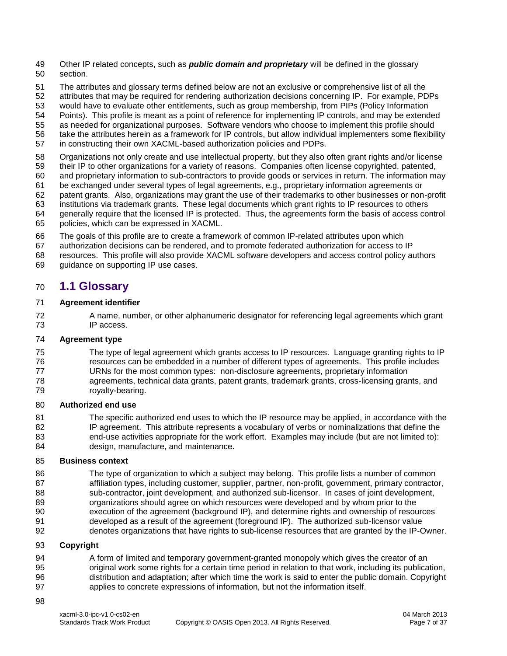- Other IP related concepts, such as *public domain and proprietary* will be defined in the glossary section.
- The attributes and glossary terms defined below are not an exclusive or comprehensive list of all the
- attributes that may be required for rendering authorization decisions concerning IP. For example, PDPs
- would have to evaluate other entitlements, such as group membership, from PIPs (Policy Information
- Points). This profile is meant as a point of reference for implementing IP controls, and may be extended
- as needed for organizational purposes. Software vendors who choose to implement this profile should
- take the attributes herein as a framework for IP controls, but allow individual implementers some flexibility
- in constructing their own XACML-based authorization policies and PDPs.
- Organizations not only create and use intellectual property, but they also often grant rights and/or license
- their IP to other organizations for a variety of reasons. Companies often license copyrighted, patented,
- and proprietary information to sub-contractors to provide goods or services in return. The information may be exchanged under several types of legal agreements, e.g., proprietary information agreements or
- patent grants. Also, organizations may grant the use of their trademarks to other businesses or non-profit
- institutions via trademark grants. These legal documents which grant rights to IP resources to others
- generally require that the licensed IP is protected. Thus, the agreements form the basis of access control
- policies, which can be expressed in XACML.
- The goals of this profile are to create a framework of common IP-related attributes upon which
- authorization decisions can be rendered, and to promote federated authorization for access to IP
- resources. This profile will also provide XACML software developers and access control policy authors
- guidance on supporting IP use cases.

# <span id="page-6-0"></span>**1.1 Glossary**

#### **Agreement identifier**

 A name, number, or other alphanumeric designator for referencing legal agreements which grant IP access.

#### **Agreement type**

 The type of legal agreement which grants access to IP resources. Language granting rights to IP resources can be embedded in a number of different types of agreements. This profile includes URNs for the most common types: non-disclosure agreements, proprietary information agreements, technical data grants, patent grants, trademark grants, cross-licensing grants, and royalty-bearing.

#### **Authorized end use**

 The specific authorized end uses to which the IP resource may be applied, in accordance with the IP agreement. This attribute represents a vocabulary of verbs or nominalizations that define the end-use activities appropriate for the work effort. Examples may include (but are not limited to): design, manufacture, and maintenance.

#### **Business context**

 The type of organization to which a subject may belong. This profile lists a number of common affiliation types, including customer, supplier, partner, non-profit, government, primary contractor, sub-contractor, joint development, and authorized sub-licensor. In cases of joint development, organizations should agree on which resources were developed and by whom prior to the execution of the agreement (background IP), and determine rights and ownership of resources developed as a result of the agreement (foreground IP). The authorized sub-licensor value denotes organizations that have rights to sub-license resources that are granted by the IP-Owner.

#### **Copyright**

- 94 A form of limited and temporary government-granted monopoly which gives the creator of an original work some rights for a certain time period in relation to that work, including its publication, distribution and adaptation; after which time the work is said to enter the public domain. Copyright applies to concrete expressions of information, but not the information itself.
-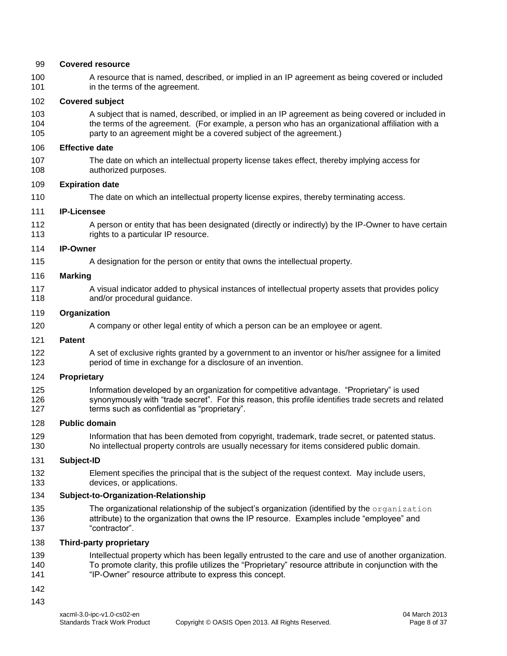#### **Covered resource**

 A resource that is named, described, or implied in an IP agreement as being covered or included in the terms of the agreement.

#### **Covered subject**

 A subject that is named, described, or implied in an IP agreement as being covered or included in the terms of the agreement. (For example, a person who has an organizational affiliation with a party to an agreement might be a covered subject of the agreement.)

#### **Effective date**

 The date on which an intellectual property license takes effect, thereby implying access for authorized purposes.

#### **Expiration date**

The date on which an intellectual property license expires, thereby terminating access.

#### **IP-Licensee**

 A person or entity that has been designated (directly or indirectly) by the IP-Owner to have certain 113 rights to a particular IP resource.

#### **IP-Owner**

A designation for the person or entity that owns the intellectual property.

#### **Marking**

 A visual indicator added to physical instances of intellectual property assets that provides policy **and/or procedural guidance.** 

#### **Organization**

A company or other legal entity of which a person can be an employee or agent.

#### **Patent**

 A set of exclusive rights granted by a government to an inventor or his/her assignee for a limited period of time in exchange for a disclosure of an invention.

#### **Proprietary**

 Information developed by an organization for competitive advantage. "Proprietary" is used 126 synonymously with "trade secret". For this reason, this profile identifies trade secrets and related terms such as confidential as "proprietary".

#### **Public domain**

 Information that has been demoted from copyright, trademark, trade secret, or patented status. No intellectual property controls are usually necessary for items considered public domain.

#### **Subject-ID**

 Element specifies the principal that is the subject of the request context. May include users, devices, or applications.

#### **Subject-to-Organization-Relationship**

135 The organizational relationship of the subject's organization (identified by the organization **attribute**) to the organization that owns the IP resource. Examples include "employee" and "contractor".

#### **Third-party proprietary**

- Intellectual property which has been legally entrusted to the care and use of another organization. To promote clarity, this profile utilizes the "Proprietary" resource attribute in conjunction with the 141 "IP-Owner" resource attribute to express this concept.
- 
-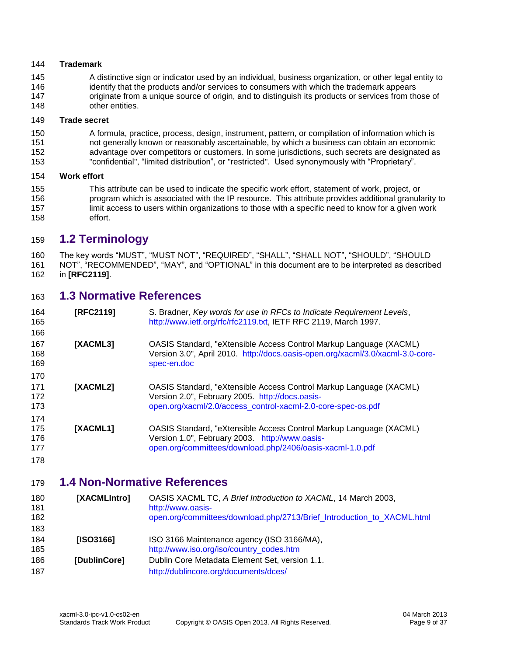#### **Trademark**

 A distinctive sign or indicator used by an individual, business organization, or other legal entity to 146 identify that the products and/or services to consumers with which the trademark appears originate from a unique source of origin, and to distinguish its products or services from those of 148 other entities.

#### **Trade secret**

 A formula, practice, process, design, instrument, pattern, or compilation of information which is not generally known or reasonably ascertainable, by which a business can obtain an economic advantage over competitors or customers. In some jurisdictions, such secrets are designated as "confidential", "limited distribution", or "restricted". Used synonymously with "Proprietary".

#### **Work effort**

 This attribute can be used to indicate the specific work effort, statement of work, project, or program which is associated with the IP resource. This attribute provides additional granularity to 157 limit access to users within organizations to those with a specific need to know for a given work effort.

# <span id="page-8-0"></span>**1.2 Terminology**

 The key words "MUST", "MUST NOT", "REQUIRED", "SHALL", "SHALL NOT", "SHOULD", "SHOULD NOT", "RECOMMENDED", "MAY", and "OPTIONAL" in this document are to be interpreted as described in **[\[RFC2119\]](#page-8-5)**.

### <span id="page-8-1"></span>**1.3 Normative References**

- <span id="page-8-5"></span><span id="page-8-3"></span> **[RFC2119]** S. Bradner, *Key words for use in RFCs to Indicate Requirement Levels*, [http://www.ietf.org/rfc/rfc2119.txt,](http://www.ietf.org/rfc/rfc2119.txt) IETF RFC 2119, March 1997. **[XACML3]** OASIS Standard, "eXtensible Access Control Markup Language (XACML) Version 3.0", April 2010. [http://docs.oasis-open.org/xacml/3.0/xacml-3.0-core-](http://docs.oasis-open.org/xacml/3.0/xacml-3.0-core-spec-en.doc) [spec-en.doc](http://docs.oasis-open.org/xacml/3.0/xacml-3.0-core-spec-en.doc) **[XACML2]** OASIS Standard, "eXtensible Access Control Markup Language (XACML) Version 2.0", February 2005. [http://docs.oasis-](http://docs.oasis-open.org/xacml/2.0/access_control-xacml-2.0-core-spec-os.pdf) [open.org/xacml/2.0/access\\_control-xacml-2.0-core-spec-os.pdf](http://docs.oasis-open.org/xacml/2.0/access_control-xacml-2.0-core-spec-os.pdf) **[XACML1]** OASIS Standard, "eXtensible Access Control Markup Language (XACML) Version 1.0", February 2003. [http://www.oasis-](http://www.oasis-open.org/committees/download.php/2406/oasis-xacml-1.0.pdf)[open.org/committees/download.php/2406/oasis-xacml-1.0.pdf](http://www.oasis-open.org/committees/download.php/2406/oasis-xacml-1.0.pdf)
- 

# <span id="page-8-2"></span>**1.4 Non-Normative References**

<span id="page-8-4"></span>

| 180<br>181<br>182<br>183 | [XACMLIntro] | OASIS XACML TC, A Brief Introduction to XACML, 14 March 2003,<br>http://www.oasis-<br>open.org/committees/download.php/2713/Brief_Introduction_to_XACML.html |
|--------------------------|--------------|--------------------------------------------------------------------------------------------------------------------------------------------------------------|
| 184<br>185               | [ SO3166]    | ISO 3166 Maintenance agency (ISO 3166/MA),<br>http://www.iso.org/iso/country_codes.htm                                                                       |
| 186<br>187               | [DublinCore] | Dublin Core Metadata Element Set, version 1.1.<br>http://dublincore.org/documents/dces/                                                                      |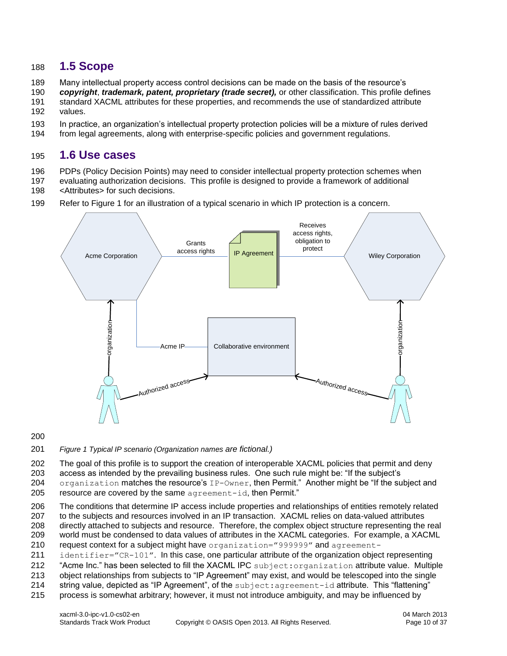### <span id="page-9-0"></span>188 **1.5 Scope**

- 189 Many intellectual property access control decisions can be made on the basis of the resource's
- 190 *copyright*, *trademark, patent, proprietary (trade secret),* or other classification. This profile defines
- 191 standard XACML attributes for these properties, and recommends the use of standardized attribute
- 192 values.
- 193 In practice, an organization's intellectual property protection policies will be a mixture of rules derived
- 194 from legal agreements, along with enterprise-specific policies and government regulations.

### <span id="page-9-1"></span>195 **1.6 Use cases**

196 PDPs (Policy Decision Points) may need to consider intellectual property protection schemes when

- 197 evaluating authorization decisions. This profile is designed to provide a framework of additional 198 < Attributes > for such decisions.
- 199 Refer to Figure 1 for an illustration of a typical scenario in which IP protection is a concern.



#### 200

201 *Figure 1 Typical IP scenario (Organization names are fictional.)*

202 The goal of this profile is to support the creation of interoperable XACML policies that permit and deny 203 access as intended by the prevailing business rules. One such rule might be: "If the subject's 204 organization matches the resource's IP-Owner, then Permit." Another might be "If the subject and

205 resource are covered by the same agreement-id, then Permit."

 The conditions that determine IP access include properties and relationships of entities remotely related to the subjects and resources involved in an IP transaction. XACML relies on data-valued attributes directly attached to subjects and resource. Therefore, the complex object structure representing the real world must be condensed to data values of attributes in the XACML categories. For example, a XACML 210 request context for a subject might have organization="999999" and agreement-

211 identifier="CR-101". In this case, one particular attribute of the organization object representing

212 "Acme Inc." has been selected to fill the XACML IPC subject:organization attribute value. Multiple

213 object relationships from subjects to "IP Agreement" may exist, and would be telescoped into the single

- 214 string value, depicted as "IP Agreement", of the subject: agreement-id attribute. This "flattening"
- 215 process is somewhat arbitrary; however, it must not introduce ambiguity, and may be influenced by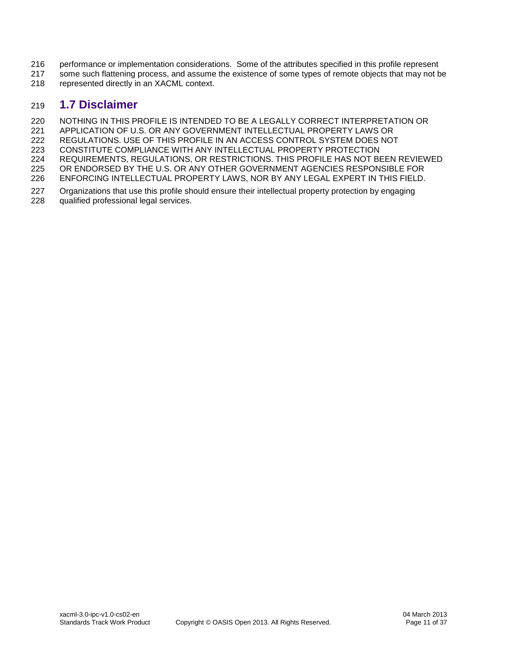- 216 performance or implementation considerations. Some of the attributes specified in this profile represent
- 217 some such flattening process, and assume the existence of some types of remote objects that may not be
- 218 represented directly in an XACML context.

# <span id="page-10-0"></span>219 **1.7 Disclaimer**

220 NOTHING IN THIS PROFILE IS INTENDED TO BE A LEGALLY CORRECT INTERPRETATION OR<br>221 APPLICATION OF U.S. OR ANY GOVERNMENT INTELLECTUAL PROPERTY LAWS OR

APPLICATION OF U.S. OR ANY GOVERNMENT INTELLECTUAL PROPERTY LAWS OR

222 REGULATIONS. USE OF THIS PROFILE IN AN ACCESS CONTROL SYSTEM DOES NOT

223 CONSTITUTE COMPLIANCE WITH ANY INTELLECTUAL PROPERTY PROTECTION

224 REQUIREMENTS, REGULATIONS, OR RESTRICTIONS. THIS PROFILE HAS NOT BEEN REVIEWED

- 225 OR ENDORSED BY THE U.S. OR ANY OTHER GOVERNMENT AGENCIES RESPONSIBLE FOR<br>226 ENFORCING INTELLECTUAL PROPERTY LAWS, NOR BY ANY LEGAL EXPERT IN THIS FIELD. ENFORCING INTELLECTUAL PROPERTY LAWS, NOR BY ANY LEGAL EXPERT IN THIS FIELD.
- 227 Organizations that use this profile should ensure their intellectual property protection by engaging 228 qualified professional legal services. qualified professional legal services.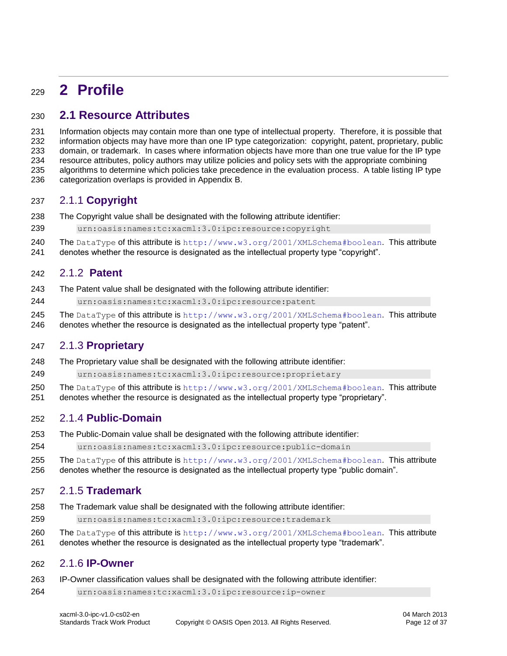# <span id="page-11-0"></span>**2 Profile**

# <span id="page-11-1"></span>**2.1 Resource Attributes**

 Information objects may contain more than one type of intellectual property. Therefore, it is possible that information objects may have more than one IP type categorization: copyright, patent, proprietary, public domain, or trademark. In cases where information objects have more than one true value for the IP type resource attributes, policy authors may utilize policies and policy sets with the appropriate combining algorithms to determine which policies take precedence in the evaluation process. A table listing IP type categorization overlaps is provided in Appendix B.

### <span id="page-11-2"></span>2.1.1 **Copyright**

- The Copyright value shall be designated with the following attribute identifier:
- urn:oasis:names:tc:xacml:3.0:ipc:resource:copyright
- 240 The DataType of this attribute is <http://www.w3.org/2001/XMLSchema#boolean>. This attribute
- denotes whether the resource is designated as the intellectual property type "copyright".

#### <span id="page-11-3"></span>2.1.2 **Patent**

- The Patent value shall be designated with the following attribute identifier:
- urn:oasis:names:tc:xacml:3.0:ipc:resource:patent
- 245 The DataType of this attribute is <http://www.w3.org/2001/XMLSchema#boolean>. This attribute
- denotes whether the resource is designated as the intellectual property type "patent".

### <span id="page-11-4"></span>2.1.3 **Proprietary**

The Proprietary value shall be designated with the following attribute identifier:

urn:oasis:names:tc:xacml:3.0:ipc:resource:proprietary

- 250 The DataType of this attribute is <http://www.w3.org/2001/XMLSchema#boolean>. This attribute
- denotes whether the resource is designated as the intellectual property type "proprietary".

### <span id="page-11-5"></span>2.1.4 **Public-Domain**

- The Public-Domain value shall be designated with the following attribute identifier:
- urn:oasis:names:tc:xacml:3.0:ipc:resource:public-domain
- 255 The DataType of this attribute is <http://www.w3.org/2001/XMLSchema#boolean>. This attribute denotes whether the resource is designated as the intellectual property type "public domain".

#### <span id="page-11-6"></span>2.1.5 **Trademark**

- The Trademark value shall be designated with the following attribute identifier:
- urn:oasis:names:tc:xacml:3.0:ipc:resource:trademark
- 260 The DataType of this attribute is <http://www.w3.org/2001/XMLSchema#boolean>. This attribute
- denotes whether the resource is designated as the intellectual property type "trademark".

#### <span id="page-11-7"></span>2.1.6 **IP-Owner**

- IP-Owner classification values shall be designated with the following attribute identifier:
- urn:oasis:names:tc:xacml:3.0:ipc:resource:ip-owner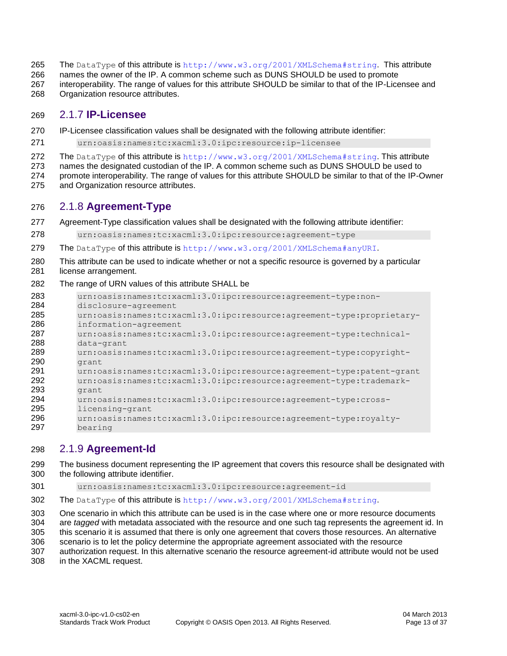- 265 The DataType of this attribute is <http://www.w3.org/2001/XMLSchema#string>. This attribute
- names the owner of the IP. A common scheme such as DUNS SHOULD be used to promote
- interoperability. The range of values for this attribute SHOULD be similar to that of the IP-Licensee and Organization resource attributes.
- <span id="page-12-0"></span>2.1.7 **IP-Licensee**
- IP-Licensee classification values shall be designated with the following attribute identifier:
- urn:oasis:names:tc:xacml:3.0:ipc:resource:ip-licensee
- 272 The DataType of this attribute is <http://www.w3.org/2001/XMLSchema#string>. This attribute

names the designated custodian of the IP. A common scheme such as DUNS SHOULD be used to

 promote interoperability. The range of values for this attribute SHOULD be similar to that of the IP-Owner and Organization resource attributes.

# <span id="page-12-1"></span>2.1.8 **Agreement-Type**

- Agreement-Type classification values shall be designated with the following attribute identifier:
- urn:oasis:names:tc:xacml:3.0:ipc:resource:agreement-type
- 279 The DataType of this attribute is <http://www.w3.org/2001/XMLSchema#anyURI>.
- This attribute can be used to indicate whether or not a specific resource is governed by a particular 281 license arrangement.

#### The range of URN values of this attribute SHALL be

| 283 | urn:oasis:names:tc:xacml:3.0:ipc:resource:agreement-type:non-         |
|-----|-----------------------------------------------------------------------|
| 284 | disclosure-agreement                                                  |
| 285 | urn:oasis:names:tc:xacml:3.0:ipc:resource:agreement-type:proprietary- |
| 286 | information-agreement                                                 |
| 287 | urn:oasis:names:tc:xacml:3.0:ipc:resource:agreement-type:technical-   |
| 288 | data-grant                                                            |
| 289 | urn:oasis:names:tc:xacml:3.0:ipc:resource:agreement-type:copyright-   |
| 290 | grant                                                                 |
| 291 | urn:oasis:names:tc:xacml:3.0:ipc:resource:agreement-type:patent-grant |
| 292 | urn:oasis:names:tc:xacml:3.0:ipc:resource:agreement-type:trademark-   |
| 293 | grant                                                                 |
| 294 | urn:oasis:names:tc:xacml:3.0:ipc:resource:agreement-type:cross-       |
| 295 | licensing-grant                                                       |
| 296 | urn:oasis:names:tc:xacml:3.0:ipc:resource:agreement-type:royalty-     |
| 297 | bearing                                                               |

### <span id="page-12-2"></span>2.1.9 **Agreement-Id**

- The business document representing the IP agreement that covers this resource shall be designated with the following attribute identifier.
- urn:oasis:names:tc:xacml:3.0:ipc:resource:agreement-id
- The DataType of this attribute is <http://www.w3.org/2001/XMLSchema#string>.

 One scenario in which this attribute can be used is in the case where one or more resource documents are *tagged* with metadata associated with the resource and one such tag represents the agreement id. In this scenario it is assumed that there is only one agreement that covers those resources. An alternative

- scenario is to let the policy determine the appropriate agreement associated with the resource
- authorization request. In this alternative scenario the resource agreement-id attribute would not be used
- in the XACML request.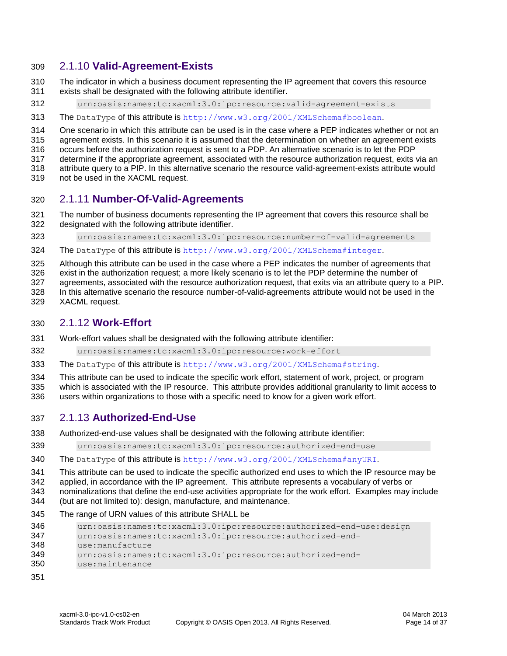### <span id="page-13-0"></span>2.1.10 **Valid-Agreement-Exists**

- The indicator in which a business document representing the IP agreement that covers this resource exists shall be designated with the following attribute identifier.
- urn:oasis:names:tc:xacml:3.0:ipc:resource:valid-agreement-exists
- 313 The DataType of this attribute is [http://www.w3.org/2001/XMLSchema#boolean](http://www.w3.org/2001/XMLSchema#boolan).

One scenario in which this attribute can be used is in the case where a PEP indicates whether or not an

agreement exists. In this scenario it is assumed that the determination on whether an agreement exists

occurs before the authorization request is sent to a PDP. An alternative scenario is to let the PDP

 determine if the appropriate agreement, associated with the resource authorization request, exits via an attribute query to a PIP. In this alternative scenario the resource valid-agreement-exists attribute would

not be used in the XACML request.

#### <span id="page-13-1"></span>2.1.11 **Number-Of-Valid-Agreements**

- The number of business documents representing the IP agreement that covers this resource shall be designated with the following attribute identifier.
- urn:oasis:names:tc:xacml:3.0:ipc:resource:number-of-valid-agreements
- 324 The DataType of this attribute is <http://www.w3.org/2001/XMLSchema#integer>.

Although this attribute can be used in the case where a PEP indicates the number of agreements that

exist in the authorization request; a more likely scenario is to let the PDP determine the number of

agreements, associated with the resource authorization request, that exits via an attribute query to a PIP.

 In this alternative scenario the resource number-of-valid-agreements attribute would not be used in the XACML request.

# <span id="page-13-2"></span>2.1.12 **Work-Effort**

Work-effort values shall be designated with the following attribute identifier:

- urn:oasis:names:tc:xacml:3.0:ipc:resource:work-effort
- 333 The DataType of this attribute is <http://www.w3.org/2001/XMLSchema#string>.
- This attribute can be used to indicate the specific work effort, statement of work, project, or program

 which is associated with the IP resource. This attribute provides additional granularity to limit access to users within organizations to those with a specific need to know for a given work effort.

#### <span id="page-13-3"></span>2.1.13 **Authorized-End-Use**

- Authorized-end-use values shall be designated with the following attribute identifier:
- urn:oasis:names:tc:xacml:3.0:ipc:resource:authorized-end-use
- The DataType of this attribute is <http://www.w3.org/2001/XMLSchema#anyURI>.

This attribute can be used to indicate the specific authorized end uses to which the IP resource may be

applied, in accordance with the IP agreement. This attribute represents a vocabulary of verbs or

- nominalizations that define the end-use activities appropriate for the work effort. Examples may include (but are not limited to): design, manufacture, and maintenance.
- The range of URN values of this attribute SHALL be

```
346 urn:oasis:names:tc:xacml:3.0:ipc:resource:authorized-end-use:design
347 urn:oasis:names:tc:xacml:3.0:ipc:resource:authorized-end-
348 use:manufacture
349 urn:oasis:names:tc:xacml:3.0:ipc:resource:authorized-end-
350 use:maintenance
```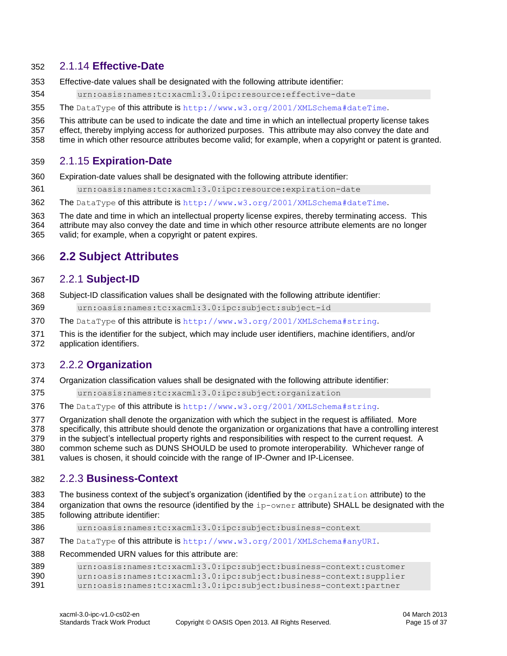#### <span id="page-14-0"></span>2.1.14 **Effective-Date**

- Effective-date values shall be designated with the following attribute identifier:
- urn:oasis:names:tc:xacml:3.0:ipc:resource:effective-date
- 355 The DataType of this attribute is [http://www.w3.org/2001/XMLSchema#dateT](http://www.w3.org/2001/XMLSchema#date)ime.
- This attribute can be used to indicate the date and time in which an intellectual property license takes
- effect, thereby implying access for authorized purposes. This attribute may also convey the date and
- time in which other resource attributes become valid; for example, when a copyright or patent is granted.

#### <span id="page-14-1"></span>2.1.15 **Expiration-Date**

- Expiration-date values shall be designated with the following attribute identifier:
- urn:oasis:names:tc:xacml:3.0:ipc:resource:expiration-date
- The DataType of this attribute is [http://www.w3.org/2001/XMLSchema#dateT](http://www.w3.org/2001/XMLSchema#date)ime.
- The date and time in which an intellectual property license expires, thereby terminating access. This
- attribute may also convey the date and time in which other resource attribute elements are no longer
- valid; for example, when a copyright or patent expires.

### <span id="page-14-2"></span>**2.2 Subject Attributes**

#### <span id="page-14-3"></span>2.2.1 **Subject-ID**

- Subject-ID classification values shall be designated with the following attribute identifier:
- urn:oasis:names:tc:xacml:3.0:ipc:subject:subject-id
- 370 The DataType of this attribute is <http://www.w3.org/2001/XMLSchema#string>.
- This is the identifier for the subject, which may include user identifiers, machine identifiers, and/or
- application identifiers.

#### <span id="page-14-4"></span>2.2.2 **Organization**

- Organization classification values shall be designated with the following attribute identifier:
- urn:oasis:names:tc:xacml:3.0:ipc:subject:organization
- The DataType of this attribute is <http://www.w3.org/2001/XMLSchema#string>.
- Organization shall denote the organization with which the subject in the request is affiliated. More
- specifically, this attribute should denote the organization or organizations that have a controlling interest
- in the subject's intellectual property rights and responsibilities with respect to the current request. A
- common scheme such as DUNS SHOULD be used to promote interoperability. Whichever range of
- values is chosen, it should coincide with the range of IP-Owner and IP-Licensee.

# <span id="page-14-5"></span>2.2.3 **Business-Context**

- 383 The business context of the subject's organization (identified by the organization attribute) to the 384 organization that owns the resource (identified by the ip-owner attribute) SHALL be designated with the following attribute identifier:
- urn:oasis:names:tc:xacml:3.0:ipc:subject:business-context
- The DataType of this attribute is <http://www.w3.org/2001/XMLSchema#anyURI>.

#### Recommended URN values for this attribute are:

```
389 urn:oasis:names:tc:xacml:3.0:ipc:subject:business-context:customer
390 urn:oasis:names:tc:xacml:3.0:ipc:subject:business-context:supplier
391 urn:oasis:names:tc:xacml:3.0:ipc:subject:business-context:partner
```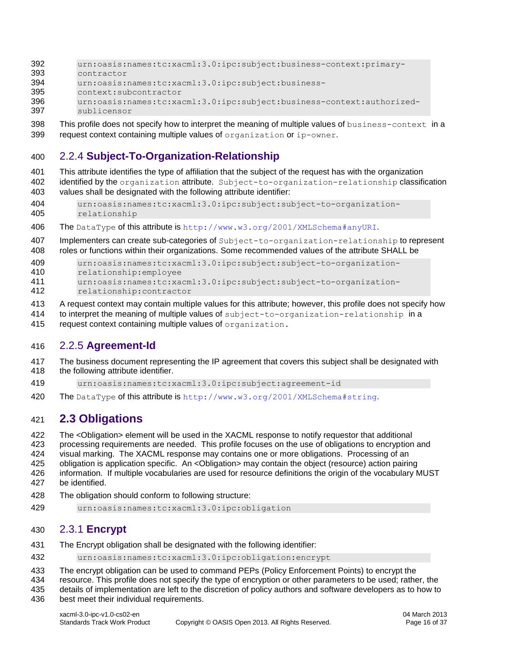- urn:oasis:names:tc:xacml:3.0:ipc:subject:business-context:primary-
- contractor
- urn:oasis:names:tc:xacml:3.0:ipc:subject:business-
- context:subcontractor
- urn:oasis:names:tc:xacml:3.0:ipc:subject:business-context:authorized-
- sublicensor
- 398 This profile does not specify how to interpret the meaning of multiple values of business-context in a 399 request context containing multiple values of organization or ip-owner.

# <span id="page-15-0"></span>2.2.4 **Subject-To-Organization-Relationship**

- This attribute identifies the type of affiliation that the subject of the request has with the organization
- 402 identified by the organization attribute. Subject-to-organization-relationship classification values shall be designated with the following attribute identifier:
- urn:oasis:names:tc:xacml:3.0:ipc:subject:subject-to-organization-relationship
- The DataType of this attribute is <http://www.w3.org/2001/XMLSchema#anyURI>.
- 407 Implementers can create sub-categories of Subject-to-organization-relationship to represent
- roles or functions within their organizations. Some recommended values of the attribute SHALL be

```
409 urn:oasis:names:tc:xacml:3.0:ipc:subject:subject-to-organization-
```
- relationship:employee
- urn:oasis:names:tc:xacml:3.0:ipc:subject:subject-to-organization-
- relationship:contractor
- A request context may contain multiple values for this attribute; however, this profile does not specify how
- 414 to interpret the meaning of multiple values of subject-to-organization-relationship in a
- 415 request context containing multiple values of organization.

# <span id="page-15-1"></span>2.2.5 **Agreement-Id**

- The business document representing the IP agreement that covers this subject shall be designated with 418 the following attribute identifier.
- urn:oasis:names:tc:xacml:3.0:ipc:subject:agreement-id
- 420 The DataType of this attribute is <http://www.w3.org/2001/XMLSchema#string>.

# <span id="page-15-2"></span>**2.3 Obligations**

- The <Obligation> element will be used in the XACML response to notify requestor that additional
- processing requirements are needed. This profile focuses on the use of obligations to encryption and
- visual marking. The XACML response may contains one or more obligations. Processing of an
- obligation is application specific. An <Obligation> may contain the object (resource) action pairing
- information. If multiple vocabularies are used for resource definitions the origin of the vocabulary MUST be identified.
- 
- The obligation should conform to following structure:
- <span id="page-15-3"></span>urn:oasis:names:tc:xacml:3.0:ipc:obligation

# 2.3.1 **Encrypt**

- The Encrypt obligation shall be designated with the following identifier:
- urn:oasis:names:tc:xacml:3.0:ipc:obligation:encrypt
- The encrypt obligation can be used to command PEPs (Policy Enforcement Points) to encrypt the
- resource. This profile does not specify the type of encryption or other parameters to be used; rather, the
- details of implementation are left to the discretion of policy authors and software developers as to how to best meet their individual requirements.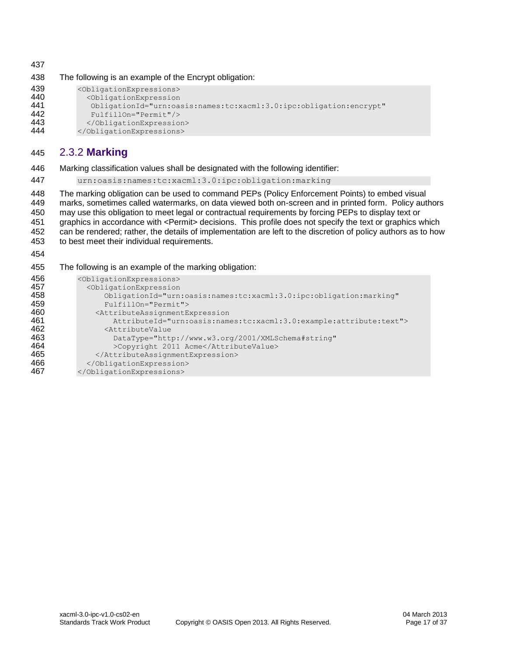The following is an example of the Encrypt obligation:

| 439 | <obligationexpressions></obligationexpressions>                    |
|-----|--------------------------------------------------------------------|
| 440 | <obligationexpression< th=""></obligationexpression<>              |
| 441 | ObligationId="urn:oasis:names:tc:xacml:3.0:ipc:obligation:encrypt" |
| 442 | FulfillOn="Permit"/>                                               |
| 443 |                                                                    |
| 444 |                                                                    |

### <span id="page-16-0"></span>2.3.2 **Marking**

Marking classification values shall be designated with the following identifier:

urn:oasis:names:tc:xacml:3.0:ipc:obligation:marking

 The marking obligation can be used to command PEPs (Policy Enforcement Points) to embed visual marks, sometimes called watermarks, on data viewed both on-screen and in printed form. Policy authors may use this obligation to meet legal or contractual requirements by forcing PEPs to display text or graphics in accordance with <Permit> decisions. This profile does not specify the text or graphics which 452 can be rendered; rather, the details of implementation are left to the discretion of policy authors as to how<br>453 to best meet their individual requirements. to best meet their individual requirements.

The following is an example of the marking obligation:

| 456 | <obligationexpressions></obligationexpressions>                         |
|-----|-------------------------------------------------------------------------|
| 457 | <obligationexpression< th=""></obligationexpression<>                   |
| 458 | ObligationId="urn:oasis:names:tc:xacml:3.0:ipc:obligation:marking"      |
| 459 | FulfillOn="Permit">                                                     |
| 460 | <attributeassignmentexpression< th=""></attributeassignmentexpression<> |
| 461 | AttributeId="urn:oasis:names:tc:xacml:3.0:example:attribute:text">      |
| 462 | <attributevalue< th=""></attributevalue<>                               |
| 463 | DataType="http://www.w3.org/2001/XMLSchema#string"                      |
| 464 | >Copyright 2011 Acme                                                    |
| 465 |                                                                         |
| 466 |                                                                         |
| 467 |                                                                         |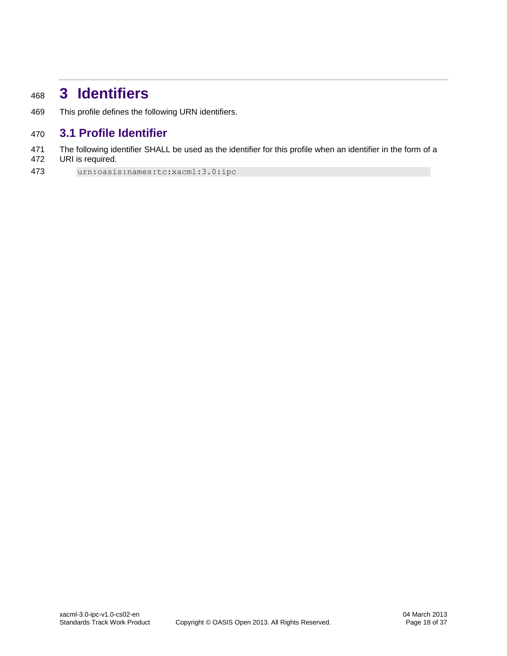# <span id="page-17-0"></span>**3 Identifiers**

This profile defines the following URN identifiers.

# <span id="page-17-1"></span>**3.1 Profile Identifier**

 The following identifier SHALL be used as the identifier for this profile when an identifier in the form of a URI is required.

urn:oasis:names:tc:xacml:3.0:ipc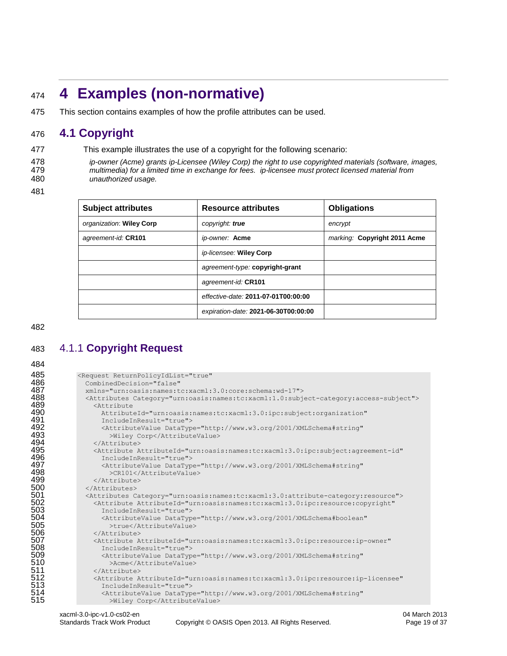# <span id="page-18-0"></span>**4 Examples (non-normative)**

This section contains examples of how the profile attributes can be used.

# <span id="page-18-1"></span>**4.1 Copyright**

This example illustrates the use of a copyright for the following scenario:

 *ip-owner (Acme) grants ip-Licensee (Wiley Corp) the right to use copyrighted materials (software, images, multimedia) for a limited time in exchange for fees. ip-licensee must protect licensed material from unauthorized usage.*

| <b>Subject attributes</b> | <b>Resource attributes</b>           | <b>Obligations</b>           |
|---------------------------|--------------------------------------|------------------------------|
| organization: Wiley Corp  | copyright: true                      | encrypt                      |
| agreement-id: CR101       | ip-owner: Acme                       | marking: Copyright 2011 Acme |
|                           | ip-licensee: Wiley Corp              |                              |
|                           | agreement-type: copyright-grant      |                              |
|                           | agreement-id: CR101                  |                              |
|                           | effective-date: 2011-07-01T00:00:00  |                              |
|                           | expiration-date: 2021-06-30T00:00:00 |                              |

# <span id="page-18-2"></span>4.1.1 **Copyright Request**

| 485 | <request <="" returnpolicyidlist="true" th=""></request>                                               |
|-----|--------------------------------------------------------------------------------------------------------|
| 486 | CombinedDecision="false"                                                                               |
| 487 | xmlns="urn:oasis:names:tc:xacml:3.0:core:schema:wd-17">                                                |
| 488 | <attributes category="urn:oasis:names:tc:xacml:1.0:subject-category:access-subject"></attributes>      |
| 489 | <attribute< th=""></attribute<>                                                                        |
| 490 | AttributeId="urn:oasis:names:tc:xacml:3.0:ipc:subject:organization"                                    |
| 491 | IncludeInResult="true">                                                                                |
| 492 |                                                                                                        |
|     | <attributevalue <="" datatype="http://www.w3.org/2001/XMLSchema#string" th=""></attributevalue>        |
| 493 | >Wiley Corp                                                                                            |
| 494 |                                                                                                        |
| 495 | <attribute <="" attributeid="urn:oasis:names:tc:xacml:3.0:ipc:subject:agreement-id" th=""></attribute> |
| 496 | IncludeInResult="true">                                                                                |
| 497 | <attributevalue <="" datatype="http://www.w3.org/2001/XMLSchema#string" th=""></attributevalue>        |
| 498 | >CR101                                                                                                 |
| 499 |                                                                                                        |
| 500 | $\langle$ /Attributes>                                                                                 |
| 501 | <attributes category="urn:oasis:names:tc:xacml:3.0:attribute-category:resource"></attributes>          |
| 502 | <attribute <="" attributeid="urn:oasis:names:tc:xacml:3.0:ipc:resource:copyright" th=""></attribute>   |
| 503 | IncludeInResult="true">                                                                                |
| 504 | <attributevalue <="" datatype="http://www.w3.org/2001/XMLSchema#boolean" th=""></attributevalue>       |
| 505 | >true                                                                                                  |
| 506 | $\langle$ /Attribute>                                                                                  |
| 507 | <attribute <="" attributeid="urn:oasis:names:tc:xacml:3.0:ipc:resource:ip-owner" th=""></attribute>    |
| 508 | IncludeInResult="true">                                                                                |
| 509 | <attributevalue <="" datatype="http://www.w3.org/2001/XMLSchema#string" th=""></attributevalue>        |
| 510 | >Acme                                                                                                  |
| 511 | $\langle$ /Attribute>                                                                                  |
| 512 | <attribute <="" attributeid="urn:oasis:names:tc:xacml:3.0:ipc:resource:ip-licensee" th=""></attribute> |
| 513 | IncludeInResult="true">                                                                                |
| 514 | <attributevalue <="" datatype="http://www.w3.org/2001/XMLSchema#string" th=""></attributevalue>        |
| 515 | >Wiley Corp                                                                                            |
|     |                                                                                                        |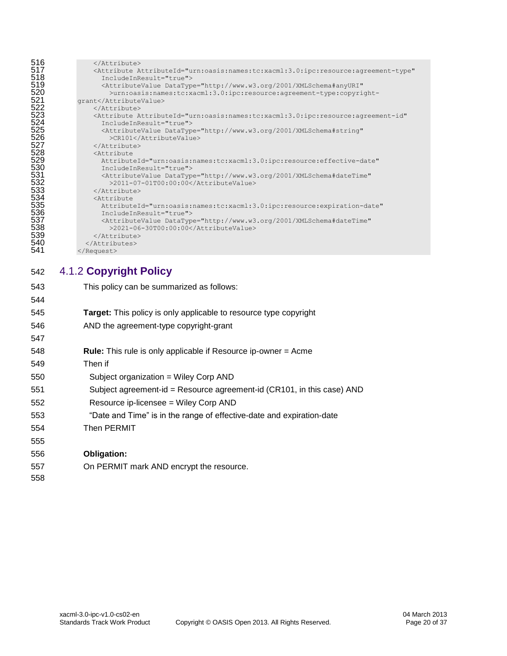| 516                             |                                                                                                           |
|---------------------------------|-----------------------------------------------------------------------------------------------------------|
| 517                             | <attribute <="" attributeid="urn:oasis:names:tc:xacml:3.0:ipc:resource:agreement-type" th=""></attribute> |
|                                 | IncludeInResult="true">                                                                                   |
| 518<br>519<br>520               | <attributevalue <="" datatype="http://www.w3.org/2001/XMLSchema#anyURI" th=""></attributevalue>           |
|                                 | >urn:oasis:names:tc:xacml:3.0:ipc:resource:agreement-type:copyright-                                      |
| 521                             | qrant                                                                                                     |
| 522                             |                                                                                                           |
| 523                             | <attribute <="" attributeid="urn:oasis:names:tc:xacml:3.0:ipc:resource:agreement-id" th=""></attribute>   |
|                                 | IncludeInResult="true">                                                                                   |
|                                 | <attributevalue <="" datatype="http://www.w3.org/2001/XMLSchema#string" th=""></attributevalue>           |
|                                 | >CR101                                                                                                    |
| 524<br>525<br>526<br>527        |                                                                                                           |
| 528                             | <attribute< th=""></attribute<>                                                                           |
| 529                             | AttributeId="urn:oasis:names:tc:xacml:3.0:ipc:resource:effective-date"                                    |
| 530                             | TncludeInResult="true">                                                                                   |
| 531<br>532<br>533<br>534<br>535 | <attributevalue <="" datatype="http://www.w3.org/2001/XMLSchema#dateTime" th=""></attributevalue>         |
|                                 | >2011-07-01T00:00:00                                                                                      |
|                                 |                                                                                                           |
|                                 | <attribute< th=""></attribute<>                                                                           |
|                                 | AttributeId="urn:oasis:names:tc:xacml:3.0:ipc:resource:expiration-date"                                   |
| 536                             | IncludeInResult="true">                                                                                   |
| 537                             | <attributevalue <="" datatype="http://www.w3.org/2001/XMLSchema#dateTime" th=""></attributevalue>         |
| 538                             | >2021-06-30T00:00:00                                                                                      |
| 539                             |                                                                                                           |
| 540                             |                                                                                                           |
| 541                             |                                                                                                           |
|                                 |                                                                                                           |

# <span id="page-19-0"></span>4.1.2 **Copyright Policy**

| 543 | This policy can be summarized as follows:                                |
|-----|--------------------------------------------------------------------------|
| 544 |                                                                          |
| 545 | <b>Target:</b> This policy is only applicable to resource type copyright |
| 546 | AND the agreement-type copyright-grant                                   |
| 547 |                                                                          |
| 548 | <b>Rule:</b> This rule is only applicable if Resource ip-owner = Acme    |
| 549 | Then if                                                                  |
| 550 | Subject organization = Wiley Corp AND                                    |
| 551 | Subject agreement-id = Resource agreement-id (CR101, in this case) AND   |
| 552 | Resource ip-licensee = Wiley Corp AND                                    |
| 553 | "Date and Time" is in the range of effective-date and expiration-date    |
| 554 | Then PERMIT                                                              |
| 555 |                                                                          |
| 556 | Obligation:                                                              |
| 557 | On PERMIT mark AND encrypt the resource.                                 |
| 558 |                                                                          |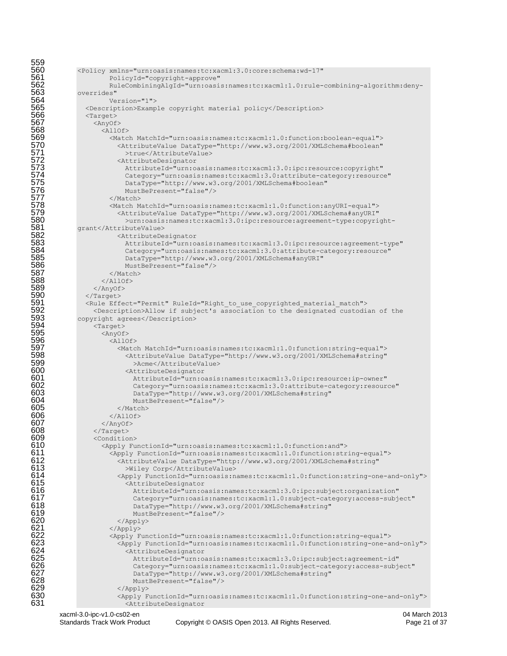```
559<br>560
560 <Policy xmlns="urn:oasis:names:tc:xacml:3.0:core:schema:wd-17" <br>561 PolicyId="copyright-approve"
561 PolicyId="copyright-approve"<br>562 RuleCombiningAlgId="urn:oasi
562 RuleCombiningAlgId="urn:oasis:names:tc:xacml:1.0:rule-combining-algorithm:deny-
563 overrides" 
564 Version="1">
565 <Description>Example copyright material policy</Description><br>566 <Target>
566 <Target><br>567 <AnyOf<br>568 <All
                    567 <AnyOf>
568 <allof><br>569 <allof>
569 <Match MatchId="urn:oasis:names:tc:xacml:1.0:function:boolean-equal"><br>570 <AttributeValue DataType="http://www.w3.org/2001/XMLSchema#boolean"<br>571 > true</AttributeValue><br>572 <AttributeDesignator<br>573 AttributeId="urn:oa
                            570 <AttributeValue DataType="http://www.w3.org/2001/XMLSchema#boolean"
                              >true</AttributeValue>
                            572 <AttributeDesignator 
573 AttributeId="urn:oasis:names:tc:xacml:3.0:ipc:resource:copyright"<br>574 Category="urn:oasis:names:tc:xacml:3.0:attribute-category:resource<br>575 DataType="http://www.w3.org/2001/XMLSchema#boolean"<br>576 MustBePresent="false"
                              574 Category="urn:oasis:names:tc:xacml:3.0:attribute-category:resource" 
                              575 DataType="http://www.w3.org/2001/XMLSchema#boolean" 
                              MustBePresent="false"/>
577 </Match><br>578 </match M<br>579 </http://www.file.com/
                         578 <Match MatchId="urn:oasis:names:tc:xacml:1.0:function:anyURI-equal">
579 <AttributeValue DataType="http://www.w3.org/2001/XMLSchema#anyURI"
580 >urn:oasis:names:tc:xacml:3.0:ipc:resource:agreement-type:copyright-<br>581 grant</AttributeValue><br>582 <AttributeDesignator
               581 grant</AttributeValue>
582 <AttributeDesignator 
583 AttributeId="urn:oasis:names:tc:xacml:3.0:ipc:resource:agreement-type"<br>584 Category="urn:oasis:names:tc:xacml:3.0:attribute-category:resource"
584 Category="urn:oasis:names:tc:xacml:3.0:attribute-category:resource"<br>585 CataType="http://www.w3.org/2001/XMLSchema#anyURI"
585 DataType="http://www.w3.org/2001/XMLSchema#anyURI"<br>586 MustBePresent="false"/>
586 MustBePresent="false"/><br>587 </match>
587 </Match><br>588 </Match>
588 </Allof><br>589 </Anyof>
589 </AnyOf><br>590 </rarget>
590 </Target><br>591 < Rule Eff
591 <Rule Effect="Permit" RuleId="Right to use copyrighted material match"><br>592 <Description>Allow if subject's association to the designated custodi
592 <Description>Allow if subject's association to the designated custodian of the 593 <p>>
copyright agrees</Description>
593 copyright agrees</Description><br>594 <Target>
594 <Target>
595 <anyof><br>596 <anyof>
596 <allof><br>597 <allof>
597 
Satch MatchId="urn:oasis:names:tc:xacml:1.0:function:string-equal"><br>
598 
SattributeValue DataType="http://www.w3.org/2001/XMLSchema#string"
598 <AttributeValue DataType="http://www.w3.org/2001/XMLSchema#string"<br>599 >Acme</AttributeValue>
599 >Acme</AttributeValue><br>600 <attributeDesignator>
600 <AttributeDesignator 
601 AttributeId="urn:oasis:names:tc:xacml:3.0:ipc:resource:ip-owner" 
602 Category="urn:oasis:names:tc:xacml:3.0:attribute-category:resource"<br>603 CataType="http://www.w3.org/2001/XMLSchema#string"
603 DataType="http://www.w3.org/2001/XMLSchema#string"<br>604 MustBePresent="false"/>
604 MustBePresent="false"/><br>605 </Match>
605 \le/Match><br>606 \le/Allof>
606 \langleAllOf><br>607 \langleAnvOf>
607 \langle AnyOf><br>608 \langle Target>
608 </Target><br>609 <conditio
609 <Condition>
610 <Apply FunctionId="urn:oasis:names:tc:xacml:1.0:function:and"><br>611 <Apply FunctionId="urn:oasis:names:tc:xacml:1.0:function:str
611 <Apply FunctionId="urn:oasis:names:tc:xacml:1.0:function:string-equal"><br>612 <AttributeValue DataType="http://www.w3.org/2001/XMLSchema#string"
612 <AttributeValue DataType="http://www.w3.org/2001/XMLSchema#string"
613 >Wiley Corp</AttributeValue>
614 <Apply FunctionId="urn:oasis:names:tc:xacml:1.0:function:string-one-and-only">
615 <attributeDesignator</attributeDesignator</a>616 </a>AttributeDesignator</a></a>G17 </a></a>G17 </a>Category="urn:oasi
                                616 AttributeId="urn:oasis:names:tc:xacml:3.0:ipc:subject:organization" 
617 Category="urn:oasis:names:tc:xacml:1.0:subject-category:access-subject" 
618 DataType="http://www.w3.org/2001/XMLSchema#string"<br>619 MustBePresent="false"/>
619 MustBePresent="false"<br>620 \langle /Apply \rangle620 \langle \text{Apply} \rangle 621 \langle \text{Apply} \rangle621 \leq \leq \leq \leq \leq \leq \leq \leq \leq \leq \leq \leq \leq \leq \leq \leq \leq \leq \leq \leq \leq \leq \leq \leq \leq \leq \leq \leq \leq \leq \leq \leq \leq \leq \leq \leq622 <Apply FunctionId="urn:oasis:names:tc:xacml:1.0:function:string-equal">
623 <Apply FunctionId="urn:oasis:names:tc:xacml:1.0:function:string-one-and-only"><br>624 <AttributeDesignator
624 <AttributeDesignator<br>625 AttributeId="urn:o<br>626 Category="urn:oasi<br>627 DataType="http://w
                                 625 AttributeId="urn:oasis:names:tc:xacml:3.0:ipc:subject:agreement-id" 
                                 626 Category="urn:oasis:names:tc:xacml:1.0:subject-category:access-subject" 
627 DataType="http://www.w3.org/2001/XMLSchema#string"<br>628 MustBePresent="false"/>
628 MustBePresent="false"/><br>4 MustBePresent="false"/>
629 </Apply><br>630 </apply F
630 \leqApply FunctionId="urn:oasis:names:tc:xacml:1.0:function:string-one-and-only"><br>631
                              631 <AttributeDesignator
```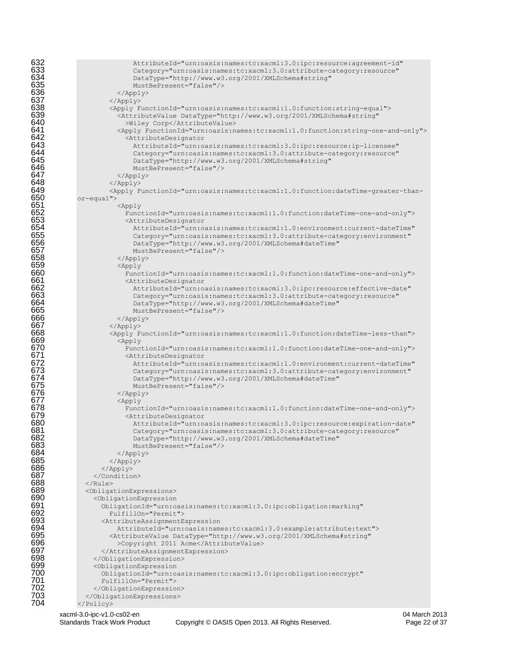| 632<br>633<br>634               | AttributeId="urn:oasis:names:tc:xacml:3.0:ipc:resource:agreement-id"<br>Category="urn:oasis:names:tc:xacml:3.0:attribute-category:resource"                                                               |
|---------------------------------|-----------------------------------------------------------------------------------------------------------------------------------------------------------------------------------------------------------|
| 001<br>635<br>636<br>637<br>638 | DataType="http://www.w3.org/2001/XMLSchema#string"<br>MustBePresent="false"/><br>$\langle$ /Apply>                                                                                                        |
|                                 | $\langle$ Apply>                                                                                                                                                                                          |
| 639<br>640                      | <apply functionid="urn:oasis:names:tc:xacml:1.0:function:string-equal"><br/><attributevalue <br="" datatype="http://www.w3.org/2001/XMLSchema#string">&gt;Wiley Corp</attributevalue></apply>             |
| 641<br>642                      | <apply functionid="urn:oasis:names:tc:xacml:1.0:function:string-one-and-only"><br/><attributedesignator< th=""></attributedesignator<></apply>                                                            |
| 643<br>644                      | AttributeId="urn:oasis:names:tc:xacml:3.0:ipc:resource:ip-licensee"<br>Category="urn:oasis:names:tc:xacml:3.0:attribute-category:resource"                                                                |
| 645<br>646<br>647               | DataType="http://www.w3.org/2001/XMLSchema#string"<br>MustBePresent="false"/>                                                                                                                             |
| 648                             | $\langle$ Apply><br>$\langle$ Apply>                                                                                                                                                                      |
| 649                             | <apply functionid="urn:oasis:names:tc:xacml:1.0:function:dateTime-greater-than-&lt;/th&gt;&lt;/tr&gt;&lt;tr&gt;&lt;th&gt;650&lt;br&gt;651&lt;/th&gt;&lt;th&gt;&lt;math&gt;or&lt;/math&gt;-equal"></apply> |
| 652                             | <apply<br>FunctionId="urn:oasis:names:tc:xacml:1.0:function:dateTime-one-and-only"&gt;</apply<br>                                                                                                         |
| 653                             | <attributedesignator< th=""></attributedesignator<>                                                                                                                                                       |
| 654                             | AttributeId="urn:oasis:names:tc:xacml:1.0:environment:current-dateTime"                                                                                                                                   |
| 655<br>656                      | Category="urn:oasis:names:tc:xacml:3.0:attribute-category:environment"<br>DataType="http://www.w3.org/2001/XMLSchema#dateTime"                                                                            |
| 657                             | MustBePresent="false"/>                                                                                                                                                                                   |
| 658                             | $\langle$ /Apply>                                                                                                                                                                                         |
| 659<br>660                      | <apply<br>FunctionId="urn:oasis:names:tc:xacml:1.0:function:dateTime-one-and-only"&gt;</apply<br>                                                                                                         |
| 661                             | <attributedesignator< th=""></attributedesignator<>                                                                                                                                                       |
| 662                             | AttributeId="urn:oasis:names:tc:xacml:3.0:ipc:resource:effective-date"                                                                                                                                    |
| 663                             | Category="urn:oasis:names:tc:xacml:3.0:attribute-category:resource"                                                                                                                                       |
| 664<br>665                      | DataType="http://www.w3.org/2001/XMLSchema#dateTime"<br>MustBePresent="false"/>                                                                                                                           |
| 666                             | $\langle$ /Apply>                                                                                                                                                                                         |
| 667                             | $\langle$ /Apply>                                                                                                                                                                                         |
| 668<br>669                      | <apply functionid="urn:oasis:names:tc:xacml:1.0:function:dateTime-less-than"><br/><math>\langle \text{Apply}</math></apply>                                                                               |
| 670                             | FunctionId="urn:oasis:names:tc:xacml:1.0:function:dateTime-one-and-only">                                                                                                                                 |
| 671                             | <attributedesignator< th=""></attributedesignator<>                                                                                                                                                       |
| 672<br>673                      | AttributeId="urn:oasis:names:tc:xacml:1.0:environment:current-dateTime"<br>Category="urn:oasis:names:tc:xacml:3.0:attribute-category:environment"                                                         |
| 674<br>675                      | DataType="http://www.w3.org/2001/XMLSchema#dateTime"<br>MustBePresent="false"/>                                                                                                                           |
| 676                             | $\langle$ /Apply>                                                                                                                                                                                         |
| 677                             | $\langle \text{Apply}$                                                                                                                                                                                    |
| 678<br>679                      | FunctionId="urn:oasis:names:tc:xacml:1.0:function:dateTime-one-and-only"><br><attributedesignator< th=""></attributedesignator<>                                                                          |
| 680                             | AttributeId="urn:oasis:names:tc:xacml:3.0:ipc:resource:expiration-date"                                                                                                                                   |
| 681                             | Category="urn:oasis:names:tc:xacml:3.0:attribute-category:resource"                                                                                                                                       |
| 682<br>683                      | DataType="http://www.w3.org/2001/XMLSchema#dateTime"<br>MustBePresent="false"/>                                                                                                                           |
| 684<br>685                      | $\langle$ /Apply>                                                                                                                                                                                         |
|                                 | $\langle$ /Apply>                                                                                                                                                                                         |
| 686<br>687                      | $\langle$ Apply>                                                                                                                                                                                          |
| 688                             | <br>$\langle$ /Rule>                                                                                                                                                                                      |
| 689                             | <obligationexpressions></obligationexpressions>                                                                                                                                                           |
| 690                             | <obligationexpression< th=""></obligationexpression<>                                                                                                                                                     |
| 691<br>692                      | ObligationId="urn:oasis:names:tc:xacml:3.0:ipc:obligation:marking"<br>FulfillOn="Permit">                                                                                                                 |
| 693                             | <attributeassignmentexpression< th=""></attributeassignmentexpression<>                                                                                                                                   |
| 694                             | AttributeId="urn:oasis:names:tc:xacml:3.0:example:attribute:text">                                                                                                                                        |
| 695<br>696                      | <attributevalue <br="" datatype="http://www.w3.org/2001/XMLSchema#string">&gt;Copyright 2011 Acme</attributevalue>                                                                                        |
| 697                             |                                                                                                                                                                                                           |
| 698                             |                                                                                                                                                                                                           |
| 699<br>700                      | <obligationexpression< th=""></obligationexpression<>                                                                                                                                                     |
| 701                             | ObligationId="urn:oasis:names:tc:xacml:3.0:ipc:obligation:encrypt"<br>FulfillOn="Permit">                                                                                                                 |
| 702                             |                                                                                                                                                                                                           |
| 703                             |                                                                                                                                                                                                           |
| 704                             |                                                                                                                                                                                                           |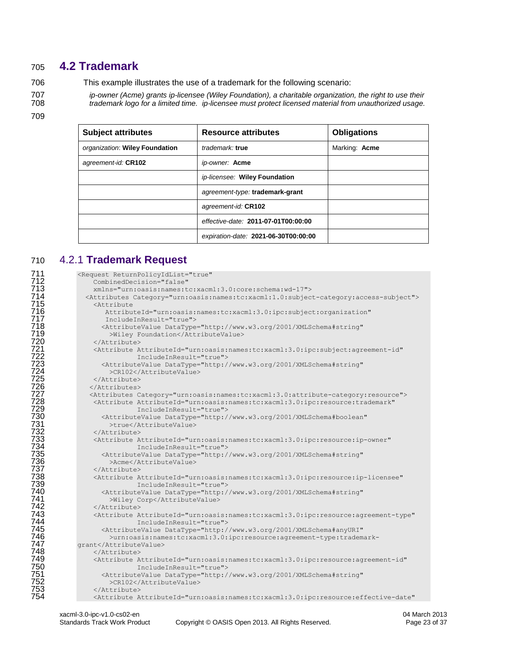# <span id="page-22-0"></span>**4.2 Trademark**

This example illustrates the use of a trademark for the following scenario:

 *ip-owner (Acme) grants ip-licensee (Wiley Foundation), a charitable organization, the right to use their trademark logo for a limited time. ip-licensee must protect licensed material from unauthorized usage.*

| <b>Subject attributes</b>      | <b>Resource attributes</b>           | <b>Obligations</b> |
|--------------------------------|--------------------------------------|--------------------|
| organization: Wiley Foundation | trademark: true                      | Marking: Acme      |
| agreement-id: CR102            | ip-owner: Acme                       |                    |
|                                | ip-licensee: Wiley Foundation        |                    |
|                                | agreement-type: trademark-grant      |                    |
|                                | agreement-id: CR102                  |                    |
|                                | effective-date: 2011-07-01T00:00:00  |                    |
|                                | expiration-date: 2021-06-30T00:00:00 |                    |

### <span id="page-22-1"></span>4.2.1 **Trademark Request**

| 711                       | <request <="" returnpolicyidlist="true" th=""></request>                                                                      |
|---------------------------|-------------------------------------------------------------------------------------------------------------------------------|
| 712                       | CombinedDecision="false"                                                                                                      |
| 713                       | xmlns="urn:oasis:names:tc:xacml:3.0:core:schema:wd-17">                                                                       |
| , 13<br>714<br>715        | <attributes category="urn:oasis:names:tc:xacml:1.0:subject-category:access-subject"></attributes>                             |
|                           | <attribute< th=""></attribute<>                                                                                               |
| 716<br>717                | AttributeId="urn:oasis:names:tc:xacml:3.0:ipc:subject:organization"                                                           |
|                           | IncludeInResult="true">                                                                                                       |
| 718                       | <attributevalue <="" datatype="http://www.w3.org/2001/XMLSchema#string" th=""></attributevalue>                               |
|                           | >Wiley Foundation                                                                                                             |
| ; 19<br>719<br>720<br>721 |                                                                                                                               |
|                           | <attribute <="" attributeid="urn:oasis:names:tc:xacml:3.0:ipc:subject:agreement-id" th=""></attribute>                        |
| 722                       | IncludeInResult="true">                                                                                                       |
| 723                       | <attributevalue <="" datatype="http://www.w3.org/2001/XMLSchema#string" th=""></attributevalue>                               |
| 724                       | >CR102                                                                                                                        |
| $7\overline{2}5$          |                                                                                                                               |
| 726                       |                                                                                                                               |
| 727                       | <attributes category="urn:oasis:names:tc:xacml:3.0:attribute-category:resource"></attributes>                                 |
| 728                       | <attribute <="" attributeid="urn:oasis:names:tc:xacml:3.0:ipc:resource:trademark" th=""></attribute>                          |
| 729                       | IncludeInResult="true">                                                                                                       |
| 730<br>731                | <attributevalue <="" datatype="http://www.w3.org/2001/XMLSchema#boolean" th=""></attributevalue>                              |
|                           | >true                                                                                                                         |
| 732                       |                                                                                                                               |
| -<br>733<br>734<br>735    | <attribute <="" attributeid="urn:oasis:names:tc:xacml:3.0:ipc:resource:ip-owner" th=""></attribute>                           |
|                           | IncludeInResult="true">                                                                                                       |
|                           | <attributevalue <="" datatype="http://www.w3.org/2001/XMLSchema#string" th=""></attributevalue>                               |
| 736                       | >Acme                                                                                                                         |
| 737                       |                                                                                                                               |
| 738                       | <attribute <="" attributeid="urn:oasis:names:tc:xacml:3.0:ipc:resource:ip-licensee" th=""></attribute>                        |
| 739                       | IncludeInResult="true">                                                                                                       |
| 740                       | <attributevalue <="" datatype="http://www.w3.org/2001/XMLSchema#string" th=""></attributevalue>                               |
| 741<br>742                | >Wiley Corp                                                                                                                   |
| 743                       |                                                                                                                               |
| 744                       | <attribute <="" attributeid="urn:oasis:names:tc:xacml:3.0:ipc:resource:agreement-type" th=""></attribute>                     |
| 745                       | IncludeInResult="true">                                                                                                       |
| 746                       | <attributevalue <="" datatype="http://www.w3.org/2001/XMLSchema#anyURI" th=""></attributevalue>                               |
| 747                       | >urn:oasis:names:tc:xacml:3.0:ipc:resource:agreement-type:trademark-                                                          |
| 748                       | qrant<br>                                                                                                                     |
| 749                       |                                                                                                                               |
| 750                       | <attribute <br="" attributeid="urn:oasis:names:tc:xacml:3.0:ipc:resource:agreement-id">IncludeInResult="true"&gt;</attribute> |
| 751                       | <attributevalue <="" datatype="http://www.w3.org/2001/XMLSchema#string" th=""></attributevalue>                               |
| 752                       | >CR102                                                                                                                        |
| 753                       |                                                                                                                               |
| 754                       | <attribute <="" attributeid="urn:oasis:names:tc:xacml:3.0:ipc:resource:effective-date" th=""></attribute>                     |
|                           |                                                                                                                               |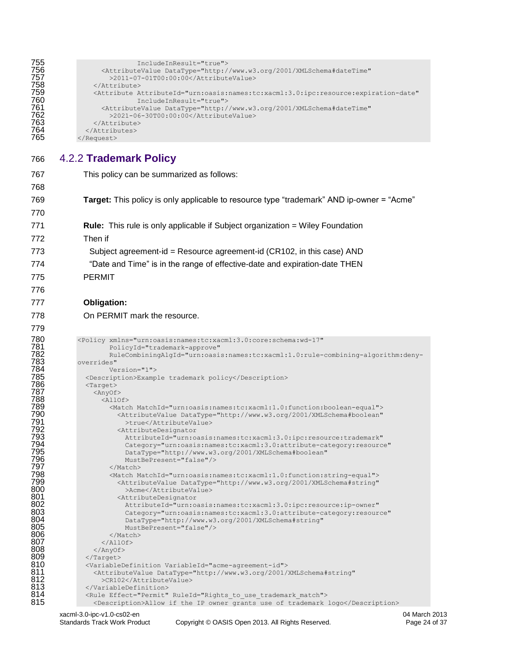```
755<br>\n756<br>\n757<br>\n758<br>\n758<br>\n759<br>\n759<br>\n750<br>\n751<br>\n752<br>\n753<br>\n754<br>\n755<br>\n756<br>\n757<br>\n758<br>\n759<br>\n750<br>\n751<br>\n752<br>\n753<br>\n754<br>\n755<br>\n756<br>\n757<br>\n758<br>\n759<br>\n750<br>\n751<br>\n752<br>\n753<br>\n754<br>\n755<br>\n755<br>\n756<br>\n757<br>\n758<br756 <AttributeValue DataType="http://www.w3.org/2001/XMLSchema#dateTime"
                                 >2011-07-01T00:00:00</AttributeValue>
                           \langle/Attribute>
                           759 <Attribute AttributeId="urn:oasis:names:tc:xacml:3.0:ipc:resource:expiration-date"
                                              760 IncludeInResult="true">
                               761 <AttributeValue DataType="http://www.w3.org/2001/XMLSchema#dateTime"
                                  762 >2021-06-30T00:00:00</AttributeValue>
                           </Attribute>
                        </Attributes>
                    \langleRequest>
```
<span id="page-23-0"></span>766 4.2.2 **Trademark Policy**

767 This policy can be summarized as follows:

```
xacml-3.0-ipc-v1.0-cs02-en 04 March 2013
        Standards Track Work Product Copyright © OASIS Open 2013. All Rights Reserved. Page 24 of 37
768
769 Target: This policy is only applicable to resource type "trademark" AND ip-owner = "Acme"
770
771 Rule: This rule is only applicable if Subject organization = Wiley Foundation
772 Then if
773 Subject agreement-id = Resource agreement-id (CR102, in this case) AND
774 "Date and Time" is in the range of effective-date and expiration-date THEN
775 PERMIT
776
777 Obligation: 
778 On PERMIT mark the resource.
779
%780 <Policy xmlns="urn:oasis:names:tc:xacml:3.0:core:schema:wd-17"<br>782 FolicyId="trademark-approve"<br>782 RueCombiningAlgId="urn:oasis:names:tc:xacml:1.0:rule-<br>783 overrides"<br>786 <persion="1"><br>786 <persion="1"><br>787 <persion
                       781 PolicyId="trademark-approve" 
                       782 RuleCombiningAlgId="urn:oasis:names:tc:xacml:1.0:rule-combining-algorithm:deny-
              overrides"
                      Version="1">
                785 <Description>Example trademark policy</Description>
                <Target>
                  \langleAnyOf>
                     \langleAllOf>
                       789 <Match MatchId="urn:oasis:names:tc:xacml:1.0:function:boolean-equal">
                         790 <AttributeValue DataType="http://www.w3.org/2001/XMLSchema#boolean"
                           >true</AttributeValue>
                         <AttributeDesignator
                           793 AttributeId="urn:oasis:names:tc:xacml:3.0:ipc:resource:trademark" 
                            794 Category="urn:oasis:names:tc:xacml:3.0:attribute-category:resource" 
                           795 DataType="http://www.w3.org/2001/XMLSchema#boolean" 
                           MustBePresent="false"/>
                       </Match>
                       798 <Match MatchId="urn:oasis:names:tc:xacml:1.0:function:string-equal">
                         799 <AttributeValue DataType="http://www.w3.org/2001/XMLSchema#string"
800 >Acme</AttributeValue><br>801 <AttributeDesignator<br>802 AttributeId="urn:oasis
                         <AttributeDesignator
802 AttributeId="urn:oasis:names:tc:xacml:3.0:ipc:resource:ip-owner"<br>803 Category="urn:oasis:names:tc:xacml:3.0:attribute-category:resour<br>804 DataType="http://www.w3.org/2001/XMLSchema#string"
                           803 Category="urn:oasis:names:tc:xacml:3.0:attribute-category:resource" 
804 DataType="http://www.w3.org/2001/XMLSchema#string"<br>805 MustBePresent="false"/>
805 MustBePresent="false"/><br>806 </Match>
806 </Match><br>807 </Allof>
807 \langleAllOf><br>808 \langleAnyOf>
808 \langle AnyOf><br>809 \langle Target>
809 </Target>
810 <variableDefinition VariableId="acme-agreement-id"><br>811 <AttributeValue DataType="http://www.w3.org/2001/
811 <attributeValue DataType="http://www.w3.org/2001/XMLSchema#string"<br>812 > <a><a><>><>><>><>><>><>><>><<a><>><</a</attributeValue></><</></><
812 >CR102</AttributeValue><br>813 </VariableDefinition>
813 </VariableDefinition>
814 <Rule Effect="Permit" RuleId="Rights_to_use_trademark_match">
                  815 <Description>Allow if the IP owner grants use of trademark logo</Description>
```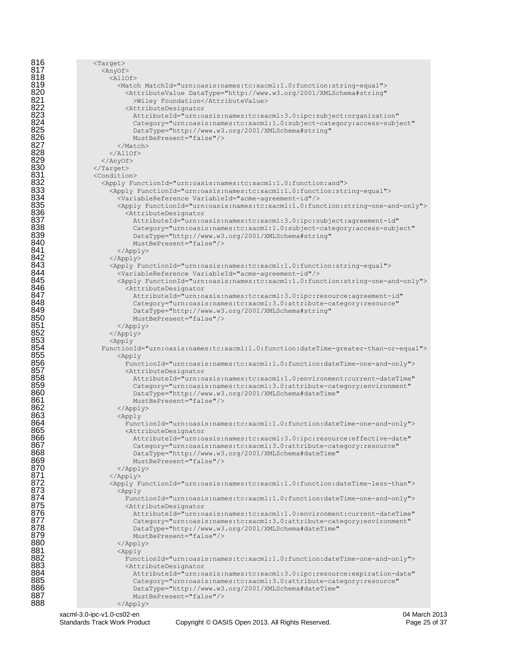| 816                                                  | $\langle Target \rangle$                                                                                                                                         |
|------------------------------------------------------|------------------------------------------------------------------------------------------------------------------------------------------------------------------|
| 817<br>818                                           | $\langle$ AnyOf>                                                                                                                                                 |
| 819                                                  | $<$ AllOf><br><match matchid="urn:oasis:names:tc:xacml:1.0:function:string-equal"></match>                                                                       |
| 820                                                  | <attributevalue <="" datatype="http://www.w3.org/2001/XMLSchema#string" th=""></attributevalue>                                                                  |
| 821                                                  | >Wiley Foundation                                                                                                                                                |
| 822                                                  | <attributedesignator< th=""></attributedesignator<>                                                                                                              |
| 823<br>824                                           | AttributeId="urn:oasis:names:tc:xacml:3.0:ipc:subject:organization"<br>Category="urn:oasis:names:tc:xacml:1.0:subject-category:access-subject"                   |
| $8\overline{2}5$                                     | DataType="http://www.w3.org/2001/XMLSchema#string"                                                                                                               |
| $\bar{8}\bar{2}\bar{6}$                              | MustBePresent="false"/>                                                                                                                                          |
| 827                                                  |                                                                                                                                                                  |
| 828<br>829                                           | $\langle$ /AllOf>                                                                                                                                                |
| 830                                                  | $\langle$ /AnyOf><br>$\langle$ /Target>                                                                                                                          |
|                                                      | <condition></condition>                                                                                                                                          |
|                                                      | <apply functionid="urn:oasis:names:tc:xacml:1.0:function:and"></apply>                                                                                           |
| 831<br>832<br>833<br>833<br>835<br>836<br>837<br>838 | <apply functionid="urn:oasis:names:tc:xacml:1.0:function:string-equal"></apply>                                                                                  |
|                                                      | <variablereference variableid="acme-agreement-id"></variablereference><br><apply functionid="urn:oasis:names:tc:xacml:1.0:function:string-one-and-only"></apply> |
|                                                      | <attributedesignator< th=""></attributedesignator<>                                                                                                              |
|                                                      | AttributeId="urn:oasis:names:tc:xacml:3.0:ipc:subject:agreement-id"                                                                                              |
|                                                      | Category="urn:oasis:names:tc:xacml:1.0:subject-category:access-subject"                                                                                          |
| 839<br>840                                           | DataType="http://www.w3.org/2001/XMLSchema#string"<br>MustBePresent="false"/>                                                                                    |
| 841                                                  | $\langle$ /Apply>                                                                                                                                                |
| 842                                                  | $\langle \text{Apply} \rangle$                                                                                                                                   |
| 843                                                  | <apply functionid="urn:oasis:names:tc:xacml:1.0:function:string-equal"></apply>                                                                                  |
| 844<br>845                                           | <variablereference variableid="acme-agreement-id"></variablereference>                                                                                           |
| 846                                                  | <apply functionid="urn:oasis:names:tc:xacml:1.0:function:string-one-and-only"><br/><attributedesignator< th=""></attributedesignator<></apply>                   |
| 847                                                  | AttributeId="urn:oasis:names:tc:xacml:3.0:ipc:resource:agreement-id"                                                                                             |
| 848                                                  | Category="urn:oasis:names:tc:xacml:3.0:attribute-category:resource"                                                                                              |
| 849<br>850                                           | DataType="http://www.w3.org/2001/XMLSchema#string"                                                                                                               |
|                                                      | MustBePresent="false"/><br>$\langle$ /Apply>                                                                                                                     |
| 851<br>852                                           | $\langle \text{Apply} \rangle$                                                                                                                                   |
| 853                                                  | $\langle \text{Apply}$                                                                                                                                           |
| 854                                                  | FunctionId="urn:oasis:names:tc:xacml:1.0:function:dateTime-greater-than-or-equal">                                                                               |
| 855<br>856                                           | $\langle \text{Apply} \rangle$<br>FunctionId="urn:oasis:names:tc:xacml:1.0:function:dateTime-one-and-only">                                                      |
| 857<br>858                                           | <attributedesignator< th=""></attributedesignator<>                                                                                                              |
|                                                      | AttributeId="urn:oasis:names:tc:xacml:1.0:environment:current-dateTime"                                                                                          |
| 859<br>860                                           | Category="urn:oasis:names:tc:xacml:3.0:attribute-category:environment"                                                                                           |
| 861                                                  | DataType="http://www.w3.org/2001/XMLSchema#dateTime"<br>MustBePresent="false"/>                                                                                  |
| 862                                                  | $\langle$ /Apply>                                                                                                                                                |
| 863                                                  | <apply< th=""></apply<>                                                                                                                                          |
| 864<br>865                                           | FunctionId="urn:oasis:names:tc:xacml:1.0:function:dateTime-one-and-only">                                                                                        |
| 866                                                  | <attributedesignator<br>AttributeId="urn:oasis:names:tc:xacml:3.0:ipc:resource:effective-date"</attributedesignator<br>                                          |
| 867                                                  | Category="urn:oasis:names:tc:xacml:3.0:attribute-category:resource"                                                                                              |
| 868                                                  | DataType="http://www.w3.org/2001/XMLSchema#dateTime"                                                                                                             |
| 869<br>870                                           | MustBePresent="false"/>                                                                                                                                          |
| 871                                                  | $\langle$ /Apply><br>$\langle$ /Apply>                                                                                                                           |
| 872                                                  | <apply functionid="urn:oasis:names:tc:xacml:1.0:function:dateTime-less-than"></apply>                                                                            |
| $87\overline{3}$                                     | $<$ Apply                                                                                                                                                        |
| 874<br>875                                           | FunctionId="urn:oasis:names:tc:xacml:1.0:function:dateTime-one-and-only">                                                                                        |
| 876                                                  | <attributedesignator<br>AttributeId="urn:oasis:names:tc:xacml:1.0:environment:current-dateTime"</attributedesignator<br>                                         |
| 877                                                  | Category="urn:oasis:names:tc:xacml:3.0:attribute-category:environment"                                                                                           |
| 878                                                  | DataType="http://www.w3.org/2001/XMLSchema#dateTime"                                                                                                             |
| 879                                                  | MustBePresent="false"/>                                                                                                                                          |
| 880<br>881                                           | <br><apply< th=""></apply<>                                                                                                                                      |
| 882                                                  | FunctionId="urn:oasis:names:tc:xacml:1.0:function:dateTime-one-and-only">                                                                                        |
| 883                                                  | <attributedesignator< th=""></attributedesignator<>                                                                                                              |
| 884                                                  | AttributeId="urn:oasis:names:tc:xacml:3.0:ipc:resource:expiration-date"                                                                                          |
| 885<br>886                                           | Category="urn:oasis:names:tc:xacml:3.0:attribute-category:resource"<br>DataType="http://www.w3.org/2001/XMLSchema#dateTime"                                      |
| 887                                                  | MustBePresent="false"/>                                                                                                                                          |
| 888                                                  | $\langle$ /Apply>                                                                                                                                                |
|                                                      |                                                                                                                                                                  |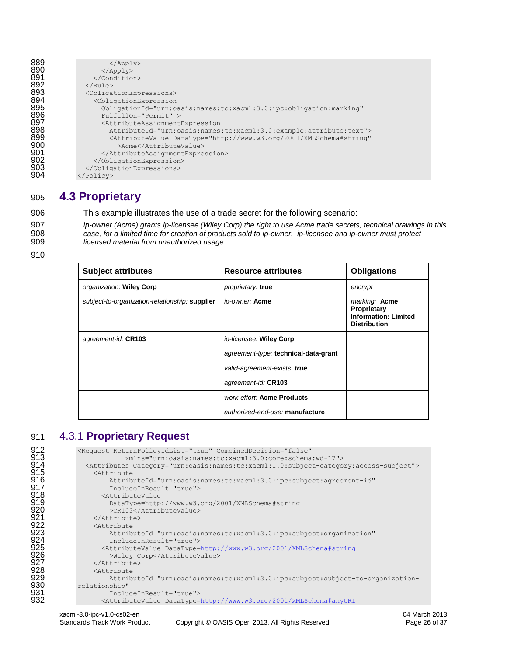| 889 | $\langle$ /Apply>                                                                               |
|-----|-------------------------------------------------------------------------------------------------|
| 890 | $\langle$ /Apply>                                                                               |
| 891 |                                                                                                 |
| 892 | $\langle$ /Rule>                                                                                |
| 893 | <obligationexpressions></obligationexpressions>                                                 |
| 894 | <obligationexpression< th=""></obligationexpression<>                                           |
| 895 | ObligationId="urn:oasis:names:tc:xacml:3.0:ipc:obligation:marking"                              |
| 896 | FulfillOn="Permit" >                                                                            |
| 897 | <attributeassignmentexpression< th=""></attributeassignmentexpression<>                         |
| 898 | AttributeId="urn:oasis:names:tc:xacml:3.0:example:attribute:text">                              |
| 899 | <attributevalue <="" datatype="http://www.w3.org/2001/XMLSchema#string" th=""></attributevalue> |
| 900 | >Acme                                                                                           |
| 901 |                                                                                                 |
| 902 |                                                                                                 |
| 903 |                                                                                                 |
| 904 | $\langle$ /Policy>                                                                              |

### <span id="page-25-0"></span>905 **4.3 Proprietary**

906 This example illustrates the use of a trade secret for the following scenario:

907 *ip-owner (Acme) grants ip-licensee (Wiley Corp) the right to use Acme trade secrets, technical drawings in this*  908 *case, for a limited time for creation of products sold to ip-owner. ip-licensee and ip-owner must protect*  909 *licensed material from unauthorized usage.*

910

| <b>Subject attributes</b>                      | <b>Resource attributes</b>           | <b>Obligations</b>                                                                 |
|------------------------------------------------|--------------------------------------|------------------------------------------------------------------------------------|
| organization: Wiley Corp                       | proprietary: true                    | encrypt                                                                            |
| subject-to-organization-relationship: supplier | ip-owner: Acme                       | marking: Acme<br>Proprietary<br><b>Information: Limited</b><br><b>Distribution</b> |
| agreement-id: CR103                            | ip-licensee: Wiley Corp              |                                                                                    |
|                                                | agreement-type: technical-data-grant |                                                                                    |
|                                                | valid-agreement-exists: true         |                                                                                    |
|                                                | agreement-id: CR103                  |                                                                                    |
|                                                | work-effort: Acme Products           |                                                                                    |
|                                                | authorized-end-use: manufacture      |                                                                                    |

# <span id="page-25-1"></span>911 4.3.1 **Proprietary Request**

```
912 <Request ReturnPolicyIdList="true" CombinedDecision="false" 
913<br>
xmlns="urn:oasis:names:tc:xacml:3.0:core:schema:wd-17"><br>
914<br>
915<br>
XattributeId="urn:oasis:names:tc:xacml:3.0:ipc:subject-catego<br>
916<br>
AttributeId="urn:oasis:names:tc:xacml:3.0:ipc:subject:agree<br>
917<br>
920<br>
920<br>
221<br>
2
                  914 <Attributes Category="urn:oasis:names:tc:xacml:1.0:subject-category:access-subject">
                     \langleAttribute
                         916 AttributeId="urn:oasis:names:tc:xacml:3.0:ipc:subject:agreement-id" 
                          917 IncludeInResult="true">
                       918 <AttributeValue 
                         919 DataType=http://www.w3.org/2001/XMLSchema#string
                          >CR103</AttributeValue>
                     </Attribute>
                     <Attribute
                         923 AttributeId="urn:oasis:names:tc:xacml:3.0:ipc:subject:organization" 
                          924 IncludeInResult="true">
                       925 <AttributeValue DataType=http://www.w3.org/2001/XMLSchema#string
                          >Wiley Corp</AttributeValue>
                     \langle/Attribute>
                     <Attribute
929 AttributeId="urn:oasis:names:tc:xacml:3.0:ipc:subject:subject-to-organization-<br>930 relationship"
930 relationship"<br>931 Incluend Sample Sample<br>932 CAttrib
                         931 IncludeInResult="true">
                       932 <AttributeValue DataType=http://www.w3.org/2001/XMLSchema#anyURI
```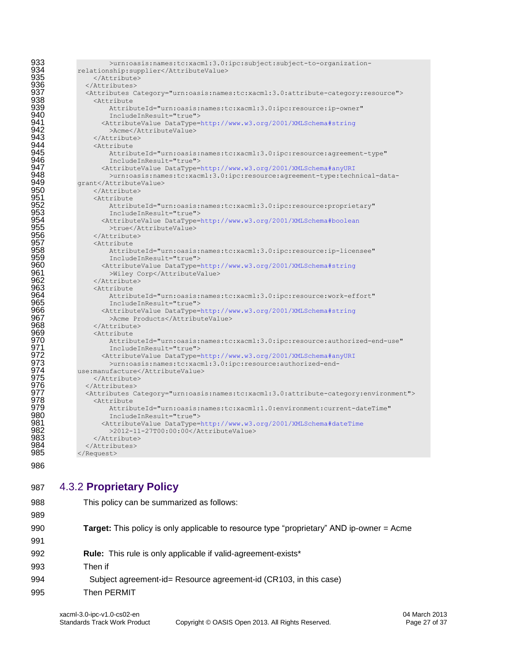| 933        | >urn:oasis:names:tc:xacml:3.0:ipc:subject:subject-to-organization-                                                      |
|------------|-------------------------------------------------------------------------------------------------------------------------|
| 934        | relationship:supplier                                                                                                   |
| 935        |                                                                                                                         |
| 936        |                                                                                                                         |
| 937        | <attributes category="urn:oasis:names:tc:xacml:3.0:attribute-category:resource"></attributes>                           |
| 938        | <attribute< th=""></attribute<>                                                                                         |
| 939        | AttributeId="urn:oasis:names:tc:xacml:3.0:ipc:resource:ip-owner"                                                        |
| 940        | IncludeInResult="true">                                                                                                 |
| 941        | <attributevalue datatype="http://www.w3.org/2001/XMLSchema#string&lt;/th"></attributevalue>                             |
| 942        | >Acme                                                                                                                   |
| 943<br>944 |                                                                                                                         |
| 945        | <attribute< th=""></attribute<>                                                                                         |
| 946        | AttributeId="urn:oasis:names:tc:xacml:3.0:ipc:resource:agreement-type"                                                  |
| 947        | IncludeInResult="true">                                                                                                 |
| 948        | <attributevalue datatype="http://www.w3.org/2001/XMLSchema#anyURI&lt;/th"></attributevalue>                             |
| 949        | >urn:oasis:names:tc:xacml:3.0:ipc:resource:agreement-type:technical-data-                                               |
| 950        | qrant<br>                                                                                                               |
| 951        | <attribute< th=""></attribute<>                                                                                         |
| 952        | AttributeId="urn:oasis:names:tc:xacml:3.0:ipc:resource:proprietary"                                                     |
| 953        |                                                                                                                         |
| 954        | IncludeInResult="true"><br><attributevalue datatype="http://www.w3.org/2001/XMLSchema#boolean&lt;/th"></attributevalue> |
| 955        | >true                                                                                                                   |
| 956        |                                                                                                                         |
| 957        | <attribute< th=""></attribute<>                                                                                         |
| 958        | AttributeId="urn:oasis:names:tc:xacml:3.0:ipc:resource:ip-licensee"                                                     |
| 959        | IncludeInResult="true">                                                                                                 |
| 960        | <attributevalue datatype="http://www.w3.org/2001/XMLSchema#string&lt;/th"></attributevalue>                             |
| 961        | >Wiley Corp                                                                                                             |
| 962        |                                                                                                                         |
| 963        | <attribute< th=""></attribute<>                                                                                         |
| 964        | AttributeId="urn:oasis:names:tc:xacml:3.0:ipc:resource:work-effort"                                                     |
| 965        | IncludeInResult="true">                                                                                                 |
| 966        | <attributevalue datatype="http://www.w3.org/2001/XMLSchema#string&lt;/th"></attributevalue>                             |
| 967        | >Acme Products                                                                                                          |
| 968        |                                                                                                                         |
| 969        | <attribute< th=""></attribute<>                                                                                         |
| 970        | AttributeId="urn:oasis:names:tc:xacml:3.0:ipc:resource:authorized-end-use"                                              |
| 971        | IncludeInResult="true">                                                                                                 |
| 972        | <attributevalue datatype="http://www.w3.org/2001/XMLSchema#anyURI&lt;/th"></attributevalue>                             |
| 973        | >urn:oasis:names:tc:xacml:3.0:ipc:resource:authorized-end-                                                              |
| 974        | use:manufacture                                                                                                         |
| 975        |                                                                                                                         |
| 976        |                                                                                                                         |
| 977        | <attributes category="urn:oasis:names:tc:xacml:3.0:attribute-category:environment"></attributes>                        |
| 978        | <attribute< th=""></attribute<>                                                                                         |
| 979        | AttributeId="urn:oasis:names:tc:xacml:1.0:environment:current-dateTime"                                                 |
| 980        | IncludeInResult="true">                                                                                                 |
| 981        | <attributevalue datatype="http://www.w3.org/2001/XMLSchema#dateTime&lt;/th"></attributevalue>                           |
| 982        | >2012-11-27T00:00:00                                                                                                    |
| 983        |                                                                                                                         |
| 984        |                                                                                                                         |
| 985        |                                                                                                                         |
|            |                                                                                                                         |

# <span id="page-26-0"></span>4.3.2 **Proprietary Policy**

| 988 | This policy can be summarized as follows:                                                        |
|-----|--------------------------------------------------------------------------------------------------|
| 989 |                                                                                                  |
| 990 | <b>Target:</b> This policy is only applicable to resource type "proprietary" AND ip-owner = Acme |
| 991 |                                                                                                  |
| 992 | <b>Rule:</b> This rule is only applicable if valid-agreement-exists*                             |
| 993 | Then if                                                                                          |
| 994 | Subject agreement-id= Resource agreement-id (CR103, in this case)                                |
| 995 | Then PERMIT                                                                                      |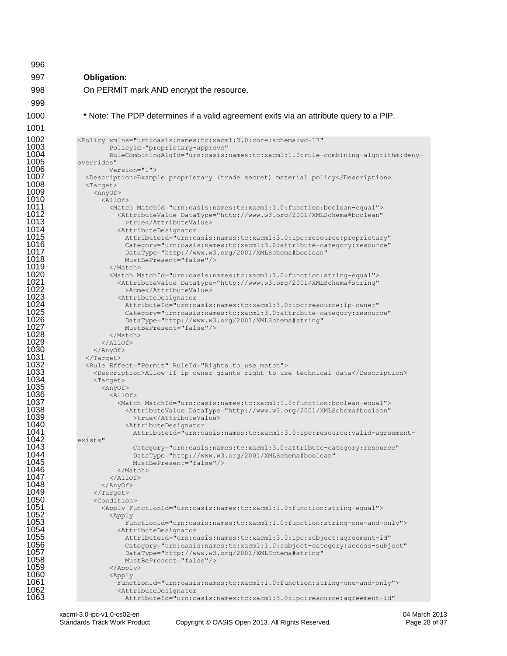| 19<br>8<br>٦ |  |
|--------------|--|
| r<br>L<br>≍  |  |

**Obligation:** 

On PERMIT mark AND encrypt the resource.

**\*** Note: The PDP determines if a valid agreement exits via an attribute query to a PIP.

```
1002 <Policy xmlns="urn:oasis:names:tc:xacml:3.0:core:schema:wd-17" 
1003 PolicyId="proprietary-approve"<br>1004 RuleCombiningAlgId="urn:oasis:
1004 RuleCombiningAlgId="urn:oasis:names:tc:xacml:1.0:rule-combining-algorithm:deny-
1005 overrides" 
1006 Version="1">
1007 <Description>Example proprietary (trade secret) material policy</Description><br>1008 <Target>
1008 <Target>
1009 <AnyOf>
1010 <AllOf>
1011 <Match MatchId="urn:oasis:names:tc:xacml:1.0:function:boolean-equal">
1012 <AttributeValue DataType="http://www.w3.org/2001/XMLSchema#boolean"
1013 >true</AttributeValue>
1014 <AttributeDesignator<br>1015 - AttributeId="urn:o
1015 AttributeId="urn:oasis:names:tc:xacml:3.0:ipc:resource:proprietary" 
1016 Category="urn:oasis:names:tc:xacml:3.0:attribute-category:resource" 
1017 DataType="http://www.w3.org/2001/XMLSchema#boolean" 
1018 MustBePresent="false"/><br>1019 //Match>
1019 </Match>
1020 <Match MatchId="urn:oasis:names:tc:xacml:1.0:function:string-equal">
1021 <AttributeValue DataType="http://www.w3.org/2001/XMLSchema#string"<br>1022 > Acme</AttributeValue><br>1023 <AttributeDesignator
                        >Acme</AttributeValue>
1023 <AttributeDesignator 
                       1024 AttributeId="urn:oasis:names:tc:xacml:3.0:ipc:resource:ip-owner" 
1025 Category="urn:oasis:names:tc:xacml:3.0:attribute-category:resource"<br>1026 DataType="http://www.w3.org/2001/XMLSchema#string"<br>1027 MustBePresent="false"/>
                       1026 DataType="http://www.w3.org/2001/XMLSchema#string" 
1027 MustBePresent="false"/><br>1028 //Match>
1028 </Match><br>1029 </Match>
1029 </Allof><br>1030 </Anyof>
1030 </Anyof><br>1031 </Target>
1031 </Target><br>1032 <Rule Eff
1032 <Rule Effect="Permit" RuleId="Rights_to_use_match"><br>1033 <Description>Allow if ip owner grants right to us
1033 <Description>Allow if ip owner grants right to use technical data</Description>
1034 <Target>
1035 <AnyOf>
1036 <AllOf>
1037 <Match MatchId="urn:oasis:names:tc:xacml:1.0:function:boolean-equal">
1038 <AttributeValue DataType="http://www.w3.org/2001/XMLSchema#boolean"
1039 >true</AttributeValue>
1040 <attributeDesignator</a>
1041 <a>
1041 <a>
1041 <a>
1041 <a>
1041 <a>
1041 <a>
1041 <a>
1041 <a>
1041 <a>
1041 <a>
1041 <a>
1041 <a>
1041 <a>
1041 <a>
1041 <a>
1041 <a>
1041 <a>
1041 <a>
1041 <a>
1041 <a>
1041 <a>
104
1041 AttributeId="urn:oasis:names:tc:xacml:3.0:ipc:resource:valid-agreement-
1042 exists"
1043 Category="urn:oasis:names:tc:xacml:3.0:attribute-category:resource" 
1044 DataType="http://www.w3.org/2001/XMLSchema#boolean" 
1045 MustBePresent="false"/>
1046 </Match> 
1047 </AllOf>
1048 </AnyOf><br>1049 </Target>
1049 </Target>
1050 <condition><br>1051 <condition>
1051 <Apply FunctionId="urn:oasis:names:tc:xacml:1.0:function:string-equal"><br>1052 <Apply
\begin{array}{ccc} \texttt{1052} & \texttt{<Apply} \ \texttt{1053} & & \texttt{?} \end{array}1053 FunctionId="urn:oasis:names:tc:xacml:1.0:function:string-one-and-only">
1054 <AttributeDesignator<br>1055 - AttributeId="urn:or
1055 AttributeId="urn:oasis:names:tc:xacml:3.0:ipc:subject:agreement-id" 
1056 Category="urn:oasis:names:tc:xacml:1.0:subject-category:access-subject" 
1057 DataType="http://www.w3.org/2001/XMLSchema#string" 
1058 MustBePresent="false"/><br>1059 </Apply>
1059 </Apply>
1060 <Apply 
1061 FunctionId="urn:oasis:names:tc:xacml:1.0:function:string-one-and-only">
1062 <attributeDesignator></attributed="urn:0.
                        1063 AttributeId="urn:oasis:names:tc:xacml:3.0:ipc:resource:agreement-id"
```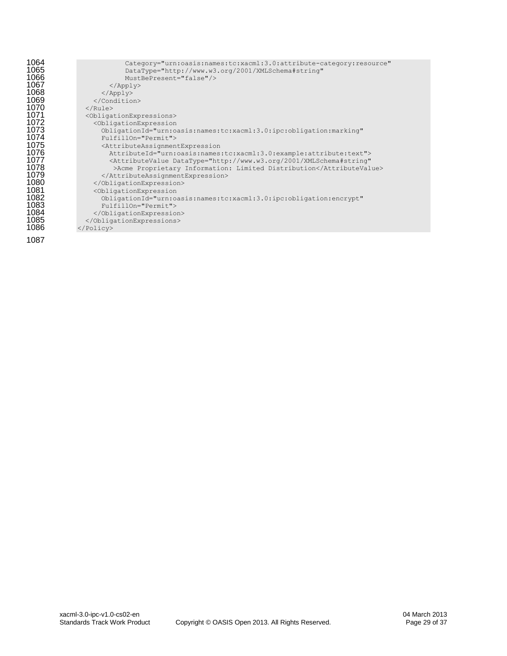| Category="urn:oasis:names:tc:xacml:3.0:attribute-category:resource"                             |
|-------------------------------------------------------------------------------------------------|
| DataType="http://www.w3.org/2001/XMLSchema#string"                                              |
| MustBePresent="false"/>                                                                         |
| $\langle \text{Apply} \rangle$                                                                  |
| $\langle \text{Apply} \rangle$                                                                  |
|                                                                                                 |
| $\langle$ /Rule>                                                                                |
| <obligationexpressions></obligationexpressions>                                                 |
| <obligationexpression< th=""></obligationexpression<>                                           |
|                                                                                                 |
| ObligationId="urn:oasis:names:tc:xacml:3.0:ipc:obligation:marking"                              |
| FulfillOn="Permit">                                                                             |
| <attributeassignmentexpression< th=""></attributeassignmentexpression<>                         |
| AttributeId="urn:oasis:names:tc:xacml:3.0:example:attribute:text">                              |
| <attributevalue <="" datatype="http://www.w3.org/2001/XMLSchema#string" th=""></attributevalue> |
| >Acme Proprietary Information: Limited Distribution                                             |
|                                                                                                 |
|                                                                                                 |
| <obligationexpression< th=""></obligationexpression<>                                           |
| ObligationId="urn:oasis:names:tc:xacml:3.0:ipc:obligation:encrypt"                              |
| FulfillOn="Permit">                                                                             |
|                                                                                                 |
|                                                                                                 |
|                                                                                                 |
|                                                                                                 |
|                                                                                                 |
|                                                                                                 |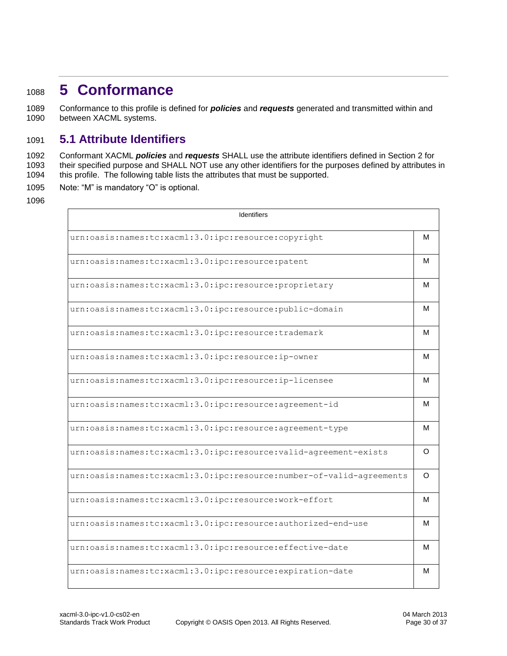# <span id="page-29-0"></span><sup>1088</sup> **5 Conformance**

1089 Conformance to this profile is defined for *policies* and *requests* generated and transmitted within and 1090 between XACML systems.

### <span id="page-29-1"></span>1091 **5.1 Attribute Identifiers**

1092 Conformant XACML *policies* and *requests* SHALL use the attribute identifiers defined in Section 2 for 1093 their specified purpose and SHALL NOT use any other identifiers for the purposes defined by attributes in 1094 this profile. The following table lists the attributes that must be supported.

1095 Note: "M" is mandatory "O" is optional.

| <b>Identifiers</b>                                                   |   |  |
|----------------------------------------------------------------------|---|--|
| urn:oasis:names:tc:xacml:3.0:ipc:resource:copyright                  | м |  |
| urn:oasis:names:tc:xacml:3.0:ipc:resource:patent                     | м |  |
| urn:oasis:names:tc:xacml:3.0:ipc:resource:proprietary                | м |  |
| urn:oasis:names:tc:xacml:3.0:ipc:resource:public-domain              | м |  |
| urn:oasis:names:tc:xacml:3.0:ipc:resource:trademark                  | м |  |
| urn:oasis:names:tc:xacml:3.0:ipc:resource:ip-owner                   | м |  |
| urn:oasis:names:tc:xacml:3.0:ipc:resource:ip-licensee                | м |  |
| urn:oasis:names:tc:xacml:3.0:ipc:resource:agreement-id               | м |  |
| urn:oasis:names:tc:xacml:3.0:ipc:resource:agreement-type             | м |  |
| urn:oasis:names:tc:xacml:3.0:ipc:resource:valid-agreement-exists     | O |  |
| urn:oasis:names:tc:xacml:3.0:ipc:resource:number-of-valid-agreements | O |  |
| urn:oasis:names:tc:xacml:3.0:ipc:resource:work-effort                | м |  |
| urn:oasis:names:tc:xacml:3.0:ipc:resource:authorized-end-use         | м |  |
| urn:oasis:names:tc:xacml:3.0:ipc:resource:effective-date             | м |  |
| urn:oasis:names:tc:xacml:3.0:ipc:resource:expiration-date            | м |  |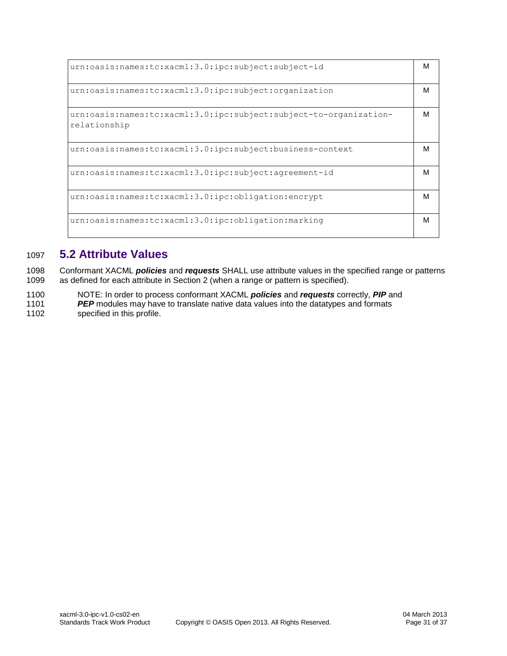| urn:oasis:names:tc:xacml:3.0:ipc:subject:subject-id                               | M |
|-----------------------------------------------------------------------------------|---|
| urn:oasis:names:tc:xacml:3.0:ipc:subject:organization                             | м |
| urn:oasis:names:tc:xacml:3.0:ipc:subject:subject-to-organization-<br>relationship | м |
| urn:oasis:names:tc:xacml:3.0:ipc:subject:business-context                         | M |
| urn:oasis:names:tc:xacml:3.0:ipc:subject:agreement-id                             | M |
| urn:oasis:names:tc:xacml:3.0:ipc:obligation:encrypt                               | м |
| urn:oasis:names:tc:xacml:3.0:ipc:obligation:marking                               | M |

# <span id="page-30-0"></span>1097 **5.2 Attribute Values**

1098 Conformant XACML *policies* and *requests* SHALL use attribute values in the specified range or patterns 1099 as defined for each attribute in Section 2 (when a range or pattern is specified).

- 1100 NOTE: In order to process conformant XACML *policies* and *requests* correctly, *PIP* and 1101 *PEP* modules may have to translate native data values into the datatypes and formats
- 1102 specified in this profile.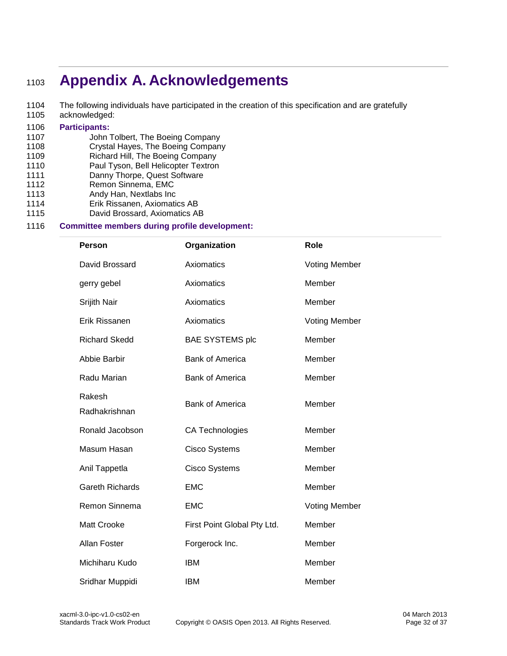# <span id="page-31-0"></span><sup>1103</sup> **Appendix A. Acknowledgements**

1104 The following individuals have participated in the creation of this specification and are gratefully<br>1105 acknowledged: acknowledged:

# 1106 **Participants:**

- John Tolbert, The Boeing Company
- 1108 Crystal Hayes, The Boeing Company<br>1109 Richard Hill. The Boeing Company
- Richard Hill, The Boeing Company
- 1110 Paul Tyson, Bell Helicopter Textron
- 1111 Danny Thorpe, Quest Software
- 1112 Remon Sinnema, EMC
- 1113 Andy Han, Nextlabs Inc
- 1114 Erik Rissanen, Axiomatics AB
- 1115 David Brossard, Axiomatics AB

#### 1116 **Committee members during profile development:**

| <b>Person</b>           | Organization                | Role                 |
|-------------------------|-----------------------------|----------------------|
| David Brossard          | Axiomatics                  | <b>Voting Member</b> |
| gerry gebel             | Axiomatics                  | Member               |
| Srijith Nair            | Axiomatics                  | Member               |
| Erik Rissanen           | Axiomatics                  | <b>Voting Member</b> |
| <b>Richard Skedd</b>    | <b>BAE SYSTEMS plc</b>      | Member               |
| Abbie Barbir            | <b>Bank of America</b>      | Member               |
| Radu Marian             | <b>Bank of America</b>      | Member               |
| Rakesh<br>Radhakrishnan | <b>Bank of America</b>      | Member               |
| Ronald Jacobson         | <b>CA Technologies</b>      | Member               |
| Masum Hasan             | <b>Cisco Systems</b>        | Member               |
| Anil Tappetla           | <b>Cisco Systems</b>        | Member               |
| <b>Gareth Richards</b>  | <b>EMC</b>                  | Member               |
| Remon Sinnema           | <b>EMC</b>                  | <b>Voting Member</b> |
| <b>Matt Crooke</b>      | First Point Global Pty Ltd. | Member               |
| <b>Allan Foster</b>     | Forgerock Inc.              | Member               |
| Michiharu Kudo          | <b>IBM</b>                  | Member               |
| Sridhar Muppidi         | <b>IBM</b>                  | Member               |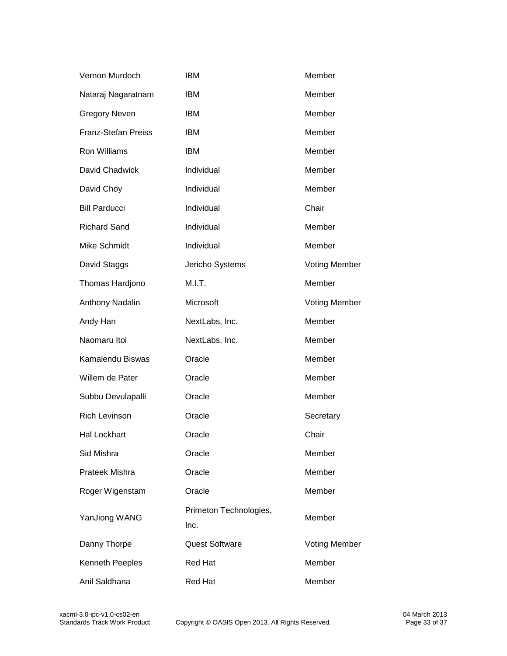| Vernon Murdoch             | <b>IBM</b>                     | Member               |
|----------------------------|--------------------------------|----------------------|
| Nataraj Nagaratnam         | <b>IBM</b>                     | Member               |
| <b>Gregory Neven</b>       | <b>IBM</b>                     | Member               |
| <b>Franz-Stefan Preiss</b> | <b>IBM</b>                     | Member               |
| Ron Williams               | <b>IBM</b>                     | Member               |
| David Chadwick             | Individual                     | Member               |
| David Choy                 | Individual                     | Member               |
| <b>Bill Parducci</b>       | Individual                     | Chair                |
| <b>Richard Sand</b>        | Individual                     | Member               |
| Mike Schmidt               | Individual                     | Member               |
| David Staggs               | Jericho Systems                | <b>Voting Member</b> |
| Thomas Hardjono            | M.I.T.                         | Member               |
| Anthony Nadalin            | Microsoft                      | <b>Voting Member</b> |
| Andy Han                   | NextLabs, Inc.                 | Member               |
| Naomaru Itoi               | NextLabs, Inc.                 | Member               |
| Kamalendu Biswas           | Oracle                         | Member               |
| Willem de Pater            | Oracle                         | Member               |
| Subbu Devulapalli          | Oracle                         | Member               |
| <b>Rich Levinson</b>       | Oracle                         | Secretary            |
| Hal Lockhart               | Oracle                         | Chair                |
| Sid Mishra                 | Oracle                         | Member               |
| Prateek Mishra             | Oracle                         | Member               |
| Roger Wigenstam            | Oracle                         | Member               |
| YanJiong WANG              | Primeton Technologies,<br>Inc. | Member               |
| Danny Thorpe               | Quest Software                 | <b>Voting Member</b> |
| Kenneth Peeples            | <b>Red Hat</b>                 | Member               |
| Anil Saldhana              | <b>Red Hat</b>                 | Member               |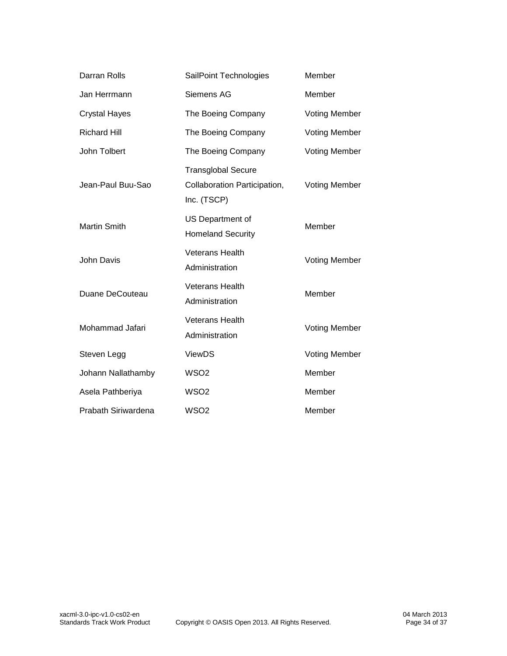| Darran Rolls         | SailPoint Technologies                                                   | Member               |
|----------------------|--------------------------------------------------------------------------|----------------------|
| Jan Herrmann         | Siemens AG                                                               | Member               |
| <b>Crystal Hayes</b> | The Boeing Company                                                       | <b>Voting Member</b> |
| <b>Richard Hill</b>  | The Boeing Company                                                       | <b>Voting Member</b> |
| John Tolbert         | The Boeing Company                                                       | <b>Voting Member</b> |
| Jean-Paul Buu-Sao    | <b>Transglobal Secure</b><br>Collaboration Participation,<br>Inc. (TSCP) | <b>Voting Member</b> |
| <b>Martin Smith</b>  | US Department of<br><b>Homeland Security</b>                             | Member               |
| John Davis           | <b>Veterans Health</b><br>Administration                                 | <b>Voting Member</b> |
| Duane DeCouteau      | <b>Veterans Health</b><br>Administration                                 | Member               |
| Mohammad Jafari      | <b>Veterans Health</b><br>Administration                                 | <b>Voting Member</b> |
| Steven Legg          | <b>ViewDS</b>                                                            | <b>Voting Member</b> |
| Johann Nallathamby   | WSO <sub>2</sub>                                                         | Member               |
| Asela Pathberiya     | WSO <sub>2</sub>                                                         | Member               |
| Prabath Siriwardena  | WSO <sub>2</sub>                                                         | Member               |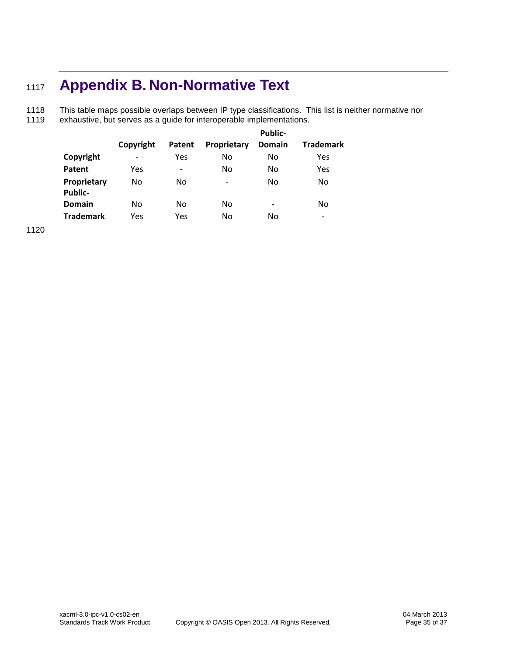# <span id="page-34-0"></span><sup>1117</sup> **Appendix B. Non-Normative Text**

1118 This table maps possible overlaps between IP type classifications. This list is neither normative nor<br>1119 exhaustive, but serves as a quide for interoperable implementations. exhaustive, but serves as a guide for interoperable implementations.

|                        |                          |        |                          | <b>Public-</b> |                  |
|------------------------|--------------------------|--------|--------------------------|----------------|------------------|
|                        | Copyright                | Patent | Proprietary              | Domain         | <b>Trademark</b> |
| Copyright              | $\overline{\phantom{0}}$ | Yes    | No                       | No             | Yes              |
| Patent                 | Yes                      |        | No                       | No             | Yes              |
| Proprietary<br>Public- | No                       | No     | $\overline{\phantom{0}}$ | No             | No               |
| <b>Domain</b>          | No                       | No     | No                       | -              | No               |
| <b>Trademark</b>       | Yes                      | Yes    | No                       | No             |                  |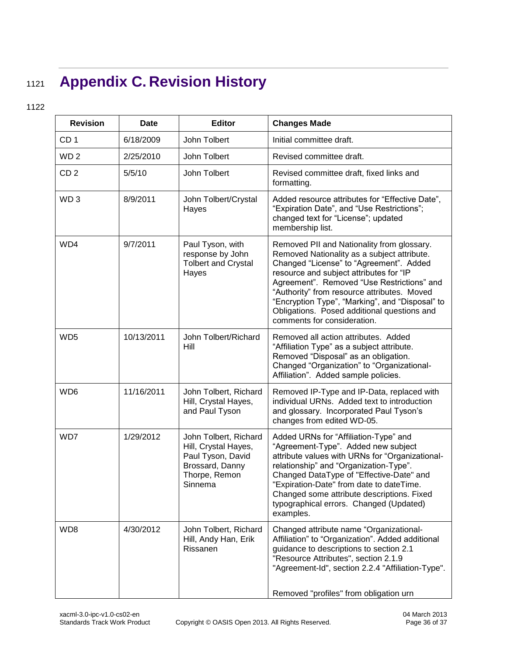# <span id="page-35-0"></span><sup>1121</sup> **Appendix C. Revision History**

| <b>Revision</b> | <b>Date</b> | <b>Editor</b>                                                                                                     | <b>Changes Made</b>                                                                                                                                                                                                                                                                                                                                                                                           |
|-----------------|-------------|-------------------------------------------------------------------------------------------------------------------|---------------------------------------------------------------------------------------------------------------------------------------------------------------------------------------------------------------------------------------------------------------------------------------------------------------------------------------------------------------------------------------------------------------|
| CD <sub>1</sub> | 6/18/2009   | John Tolbert                                                                                                      | Initial committee draft.                                                                                                                                                                                                                                                                                                                                                                                      |
| WD <sub>2</sub> | 2/25/2010   | John Tolbert                                                                                                      | Revised committee draft.                                                                                                                                                                                                                                                                                                                                                                                      |
| CD <sub>2</sub> | 5/5/10      | John Tolbert                                                                                                      | Revised committee draft, fixed links and<br>formatting.                                                                                                                                                                                                                                                                                                                                                       |
| WD <sub>3</sub> | 8/9/2011    | John Tolbert/Crystal<br>Hayes                                                                                     | Added resource attributes for "Effective Date",<br>"Expiration Date", and "Use Restrictions";<br>changed text for "License"; updated<br>membership list.                                                                                                                                                                                                                                                      |
| WD4             | 9/7/2011    | Paul Tyson, with<br>response by John<br><b>Tolbert and Crystal</b><br>Hayes                                       | Removed PII and Nationality from glossary.<br>Removed Nationality as a subject attribute.<br>Changed "License" to "Agreement". Added<br>resource and subject attributes for "IP<br>Agreement". Removed "Use Restrictions" and<br>"Authority" from resource attributes. Moved<br>"Encryption Type", "Marking", and "Disposal" to<br>Obligations. Posed additional questions and<br>comments for consideration. |
| WD <sub>5</sub> | 10/13/2011  | John Tolbert/Richard<br>Hill                                                                                      | Removed all action attributes. Added<br>"Affiliation Type" as a subject attribute.<br>Removed "Disposal" as an obligation.<br>Changed "Organization" to "Organizational-<br>Affiliation". Added sample policies.                                                                                                                                                                                              |
| WD <sub>6</sub> | 11/16/2011  | John Tolbert, Richard<br>Hill, Crystal Hayes,<br>and Paul Tyson                                                   | Removed IP-Type and IP-Data, replaced with<br>individual URNs. Added text to introduction<br>and glossary. Incorporated Paul Tyson's<br>changes from edited WD-05.                                                                                                                                                                                                                                            |
| WD7             | 1/29/2012   | John Tolbert, Richard<br>Hill, Crystal Hayes,<br>Paul Tyson, David<br>Brossard, Danny<br>Thorpe, Remon<br>Sinnema | Added URNs for "Affiliation-Type" and<br>"Agreement-Type". Added new subject<br>attribute values with URNs for "Organizational-<br>relationship" and "Organization-Type".<br>Changed DataType of "Effective-Date" and<br>"Expiration-Date" from date to dateTime.<br>Changed some attribute descriptions. Fixed<br>typographical errors. Changed (Updated)<br>examples.                                       |
| WD8             | 4/30/2012   | John Tolbert, Richard<br>Hill, Andy Han, Erik<br>Rissanen                                                         | Changed attribute name "Organizational-<br>Affiliation" to "Organization". Added additional<br>guidance to descriptions to section 2.1<br>"Resource Attributes", section 2.1.9<br>"Agreement-Id", section 2.2.4 "Affiliation-Type".<br>Removed "profiles" from obligation urn                                                                                                                                 |